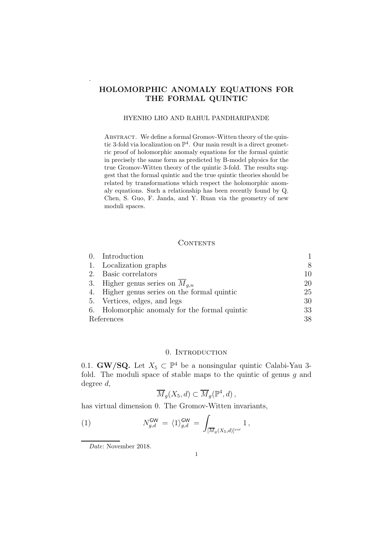# HOLOMORPHIC ANOMALY EQUATIONS FOR THE FORMAL QUINTIC

# HYENHO LHO AND RAHUL PANDHARIPANDE

ABSTRACT. We define a formal Gromov-Witten theory of the quintic 3-fold via localization on  $\mathbb{P}^4$ . Our main result is a direct geometric proof of holomorphic anomaly equations for the formal quintic in precisely the same form as predicted by B-model physics for the true Gromov-Witten theory of the quintic 3-fold. The results suggest that the formal quintic and the true quintic theories should be related by transformations which respect the holomorphic anomaly equations. Such a relationship has been recently found by Q. Chen, S. Guo, F. Janda, and Y. Ruan via the geometry of new moduli spaces.

# **CONTENTS**

|            | 0. Introduction                               |    |
|------------|-----------------------------------------------|----|
|            | 1. Localization graphs                        | 8  |
|            | 2. Basic correlators                          | 10 |
|            | 3. Higher genus series on $M_{a,n}$           | 20 |
|            | 4. Higher genus series on the formal quintic  | 25 |
|            | 5. Vertices, edges, and legs                  | 30 |
|            | 6. Holomorphic anomaly for the formal quintic | 33 |
| References |                                               | 38 |

## 0. INTRODUCTION

0.1. **GW/SQ.** Let  $X_5 \subset \mathbb{P}^4$  be a nonsingular quintic Calabi-Yau 3fold. The moduli space of stable maps to the quintic of genus  $g$  and degree d,

$$
\overline{M}_g(X_5, d) \subset \overline{M}_g(\mathbb{P}^4, d) ,
$$

has virtual dimension 0. The Gromov-Witten invariants,

(1) 
$$
N_{g,d}^{\mathsf{GW}} = \langle 1 \rangle_{g,d}^{\mathsf{GW}} = \int_{[\overline{M}_g(X_5,d)]^{vir}} 1,
$$

.

Date: November 2018.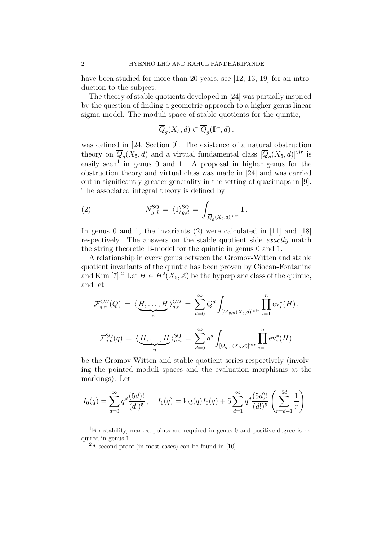have been studied for more than 20 years, see [12, 13, 19] for an introduction to the subject.

The theory of stable quotients developed in [24] was partially inspired by the question of finding a geometric approach to a higher genus linear sigma model. The moduli space of stable quotients for the quintic,

$$
\overline{Q}_g(X_5, d) \subset \overline{Q}_g(\mathbb{P}^4, d) ,
$$

was defined in [24, Section 9]. The existence of a natural obstruction theory on  $\overline{Q}_g(X_5, d)$  and a virtual fundamental class  $[\overline{Q}_g(X_5, d)]^{vir}$  is easily seen<sup>1</sup> in genus 0 and 1. A proposal in higher genus for the obstruction theory and virtual class was made in [24] and was carried out in significantly greater generality in the setting of quasimaps in [9]. The associated integral theory is defined by

(2) 
$$
N_{g,d}^{\mathsf{SQ}} = \langle 1 \rangle_{g,d}^{\mathsf{SQ}} = \int_{[\overline{Q}_g(X_5,d)]^{vir}} 1.
$$

In genus 0 and 1, the invariants (2) were calculated in [11] and [18] respectively. The answers on the stable quotient side *exactly* match the string theoretic B-model for the quintic in genus 0 and 1.

A relationship in every genus between the Gromov-Witten and stable quotient invariants of the quintic has been proven by Ciocan-Fontanine and Kim [7].<sup>2</sup> Let  $H \in H^2(X_5, \mathbb{Z})$  be the hyperplane class of the quintic, and let

$$
\mathcal{F}_{g,n}^{\mathsf{GW}}(Q) = \langle \underbrace{H,\ldots,H}_{n} \rangle_{g,n}^{\mathsf{GW}} = \sum_{d=0}^{\infty} Q^d \int_{[\overline{M}_{g,n}(X_5,d)]^{vir}} \prod_{i=1}^n \text{ev}_i^*(H),
$$
  

$$
\mathcal{F}_{g,n}^{\mathsf{SQ}}(q) = \langle \underbrace{H,\ldots,H}_{n} \rangle_{g,n}^{\mathsf{SQ}} = \sum_{d=0}^{\infty} q^d \int_{[\overline{Q}_{g,n}(X_5,d)]^{vir}} \prod_{i=1}^n \text{ev}_i^*(H)
$$

be the Gromov-Witten and stable quotient series respectively (involving the pointed moduli spaces and the evaluation morphisms at the markings). Let

$$
I_0(q) = \sum_{d=0}^{\infty} q^d \frac{(5d)!}{(d!)^5}, \quad I_1(q) = \log(q)I_0(q) + 5\sum_{d=1}^{\infty} q^d \frac{(5d)!}{(d!)^5} \left(\sum_{r=d+1}^{5d} \frac{1}{r}\right).
$$

<sup>1</sup>For stability, marked points are required in genus 0 and positive degree is required in genus 1.

 ${}^{2}$ A second proof (in most cases) can be found in [10].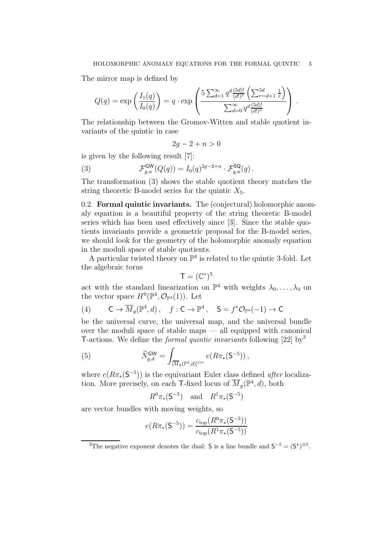The mirror map is defined by

$$
Q(q) = \exp\left(\frac{I_1(q)}{I_0(q)}\right) = q \cdot \exp\left(\frac{5\sum_{d=1}^{\infty} q^d \frac{(5d)!}{(d!)^5} \left(\sum_{r=d+1}^{5d} \frac{1}{r}\right)}{\sum_{d=0}^{\infty} q^d \frac{(5d)!}{(d!)^5}}\right).
$$

The relationship between the Gromov-Witten and stable quotient invariants of the quintic in case

$$
2g - 2 + n > 0
$$

is given by the following result [7]:

(3) 
$$
\mathcal{F}_{g,n}^{\mathsf{GW}}(Q(q)) = I_0(q)^{2g-2+n} \cdot \mathcal{F}_{g,n}^{\mathsf{SQ}}(q).
$$

The transformation (3) shows the stable quotient theory matches the string theoretic B-model series for the quintic  $X_5$ .

0.2. Formal quintic invariants. The (conjectural) holomorphic anomaly equation is a beautiful property of the string theoretic B-model series which has been used effectively since [3]. Since the stable quotients invariants provide a geometric proposal for the B-model series, we should look for the geometry of the holomorphic anomaly equation in the moduli space of stable quotients.

A particular twisted theory on  $\mathbb{P}^4$  is related to the quintic 3-fold. Let the algebraic torus

$$
\mathsf{T}=(\mathbb{C}^*)^5
$$

act with the standard linearization on  $\mathbb{P}^4$  with weights  $\lambda_0, \ldots, \lambda_4$  on the vector space  $H^0(\mathbb{P}^4, \mathcal{O}_{\mathbb{P}^4}(1))$ . Let

(4) 
$$
\qquad \mathsf{C} \to \overline{M}_g(\mathbb{P}^4, d), \quad f : \mathsf{C} \to \mathbb{P}^4, \quad \mathsf{S} = f^* \mathcal{O}_{\mathbb{P}^4}(-1) \to \mathsf{C}
$$

be the universal curve, the universal map, and the universal bundle over the moduli space of stable maps — all equipped with canonical T-actions. We define the *formal quintic invariants* following [22] by<sup>3</sup>

(5) 
$$
\widetilde{N}_{g,d}^{\mathsf{GW}} = \int_{[\overline{M}_g(\mathbb{P}^4,d)]^{vir}} e(R\pi_*(\mathsf{S}^{-5})) ,
$$

where  $e(R\pi_*(S^{-5}))$  is the equivariant Euler class defined *after* localization. More precisely, on each T-fixed locus of  $\overline{M}_g(\mathbb{P}^4, d)$ , both

$$
R^0 \pi_*(S^{-5})
$$
 and  $R^1 \pi_*(S^{-5})$ 

are vector bundles with moving weights, so

$$
e(R\pi_*(\mathsf{S}^{-5})) = \frac{c_{\text{top}}(R^0\pi_*(\mathsf{S}^{-5}))}{c_{\text{top}}(R^1\pi_*(\mathsf{S}^{-5}))}
$$

<sup>&</sup>lt;sup>3</sup>The negative exponent denotes the dual: **S** is a line bundle and  $S^{-5} = (S^{\star})^{\otimes 5}$ .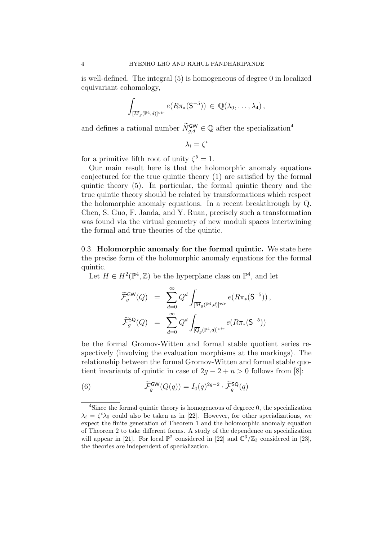is well-defined. The integral (5) is homogeneous of degree 0 in localized equivariant cohomology,

$$
\int_{[\overline{M}_g(\mathbb{P}^4,d)]^{vir}} e(R\pi_*(\mathsf{S}^{-5})) \in \mathbb{Q}(\lambda_0,\ldots,\lambda_4),
$$

and defines a rational number  $\widetilde{N}_{g,d}^{\mathsf{GW}} \in \mathbb{Q}$  after the specialization<sup>4</sup>

 $\lambda_i=\zeta^i$ 

for a primitive fifth root of unity  $\zeta^5 = 1$ .

Our main result here is that the holomorphic anomaly equations conjectured for the true quintic theory (1) are satisfied by the formal quintic theory (5). In particular, the formal quintic theory and the true quintic theory should be related by transformations which respect the holomorphic anomaly equations. In a recent breakthrough by Q. Chen, S. Guo, F. Janda, and Y. Ruan, precisely such a transformation was found via the virtual geometry of new moduli spaces intertwining the formal and true theories of the quintic.

0.3. Holomorphic anomaly for the formal quintic. We state here the precise form of the holomorphic anomaly equations for the formal quintic.

Let  $H \in H^2(\mathbb{P}^4, \mathbb{Z})$  be the hyperplane class on  $\mathbb{P}^4$ , and let

$$
\widetilde{\mathcal{F}}_g^{\mathsf{GW}}(Q) = \sum_{d=0}^{\infty} Q^d \int_{[\overline{M}_g(\mathbb{P}^4,d)]^{vir}} e(R\pi_*(\mathsf{S}^{-5})),
$$
  

$$
\widetilde{\mathcal{F}}_g^{\mathsf{SQ}}(Q) = \sum_{d=0}^{\infty} Q^d \int_{[\overline{Q}_g(\mathbb{P}^4,d)]^{vir}} e(R\pi_*(\mathsf{S}^{-5}))
$$

be the formal Gromov-Witten and formal stable quotient series respectively (involving the evaluation morphisms at the markings). The relationship between the formal Gromov-Witten and formal stable quotient invariants of quintic in case of  $2g - 2 + n > 0$  follows from [8]:

(6) 
$$
\widetilde{\mathcal{F}}_g^{\mathsf{GW}}(Q(q)) = I_0(q)^{2g-2} \cdot \widetilde{\mathcal{F}}_g^{\mathsf{SQ}}(q)
$$

<sup>&</sup>lt;sup>4</sup>Since the formal quintic theory is homogeneous of degreee 0, the specialization  $\lambda_i = \zeta^i \lambda_0$  could also be taken as in [22]. However, for other specializations, we expect the finite generation of Theorem 1 and the holomorphic anomaly equation of Theorem 2 to take different forms. A study of the dependence on specialization will appear in [21]. For local  $\mathbb{P}^2$  considered in [22] and  $\mathbb{C}^3/\mathbb{Z}_3$  considered in [23], the theories are independent of specialization.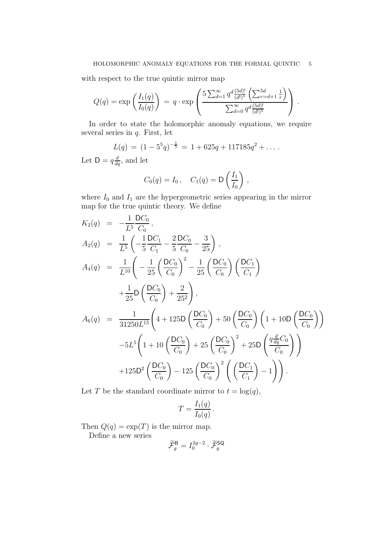with respect to the true quintic mirror map

$$
Q(q) = \exp\left(\frac{I_1(q)}{I_0(q)}\right) = q \cdot \exp\left(\frac{5\sum_{d=1}^{\infty} q^d \frac{(5d)!}{(d!)^5} \left(\sum_{r=d+1}^{5d} \frac{1}{r}\right)}{\sum_{d=0}^{\infty} q^d \frac{(5d)!}{(d!)^5}}\right).
$$

In order to state the holomorphic anomaly equations, we require several series in q. First, let

$$
L(q) = (1 - 5^5 q)^{-\frac{1}{5}} = 1 + 625q + 117185q^2 + \dots
$$

Let  $D = q \frac{d}{dq}$ , and let

$$
C_0(q) = I_0, \quad C_1(q) = \mathsf{D}\left(\frac{I_1}{I_0}\right),
$$

where  $I_0$  and  $I_1$  are the hypergeometric series appearing in the mirror map for the true quintic theory. We define

$$
K_{2}(q) = -\frac{1}{L^{5}} \frac{DC_{0}}{C_{0}},
$$
  
\n
$$
A_{2}(q) = \frac{1}{L^{5}} \left( -\frac{1}{5} \frac{DC_{1}}{C_{1}} - \frac{2}{5} \frac{DC_{0}}{C_{0}} - \frac{3}{25} \right),
$$
  
\n
$$
A_{4}(q) = \frac{1}{L^{10}} \left( -\frac{1}{25} \left( \frac{DC_{0}}{C_{0}} \right)^{2} - \frac{1}{25} \left( \frac{DC_{0}}{C_{0}} \right) \left( \frac{DC_{1}}{C_{1}} \right) + \frac{1}{25} D \left( \frac{DC_{0}}{C_{0}} \right) + \frac{2}{25^{2}} \right),
$$
  
\n
$$
A_{6}(q) = \frac{1}{31250L^{15}} \left( 4 + 125D \left( \frac{DC_{0}}{C_{0}} \right) + 50 \left( \frac{DC_{0}}{C_{0}} \right) \left( 1 + 10D \left( \frac{DC_{0}}{C_{0}} \right) \right) - 5L^{5} \left( 1 + 10 \left( \frac{DC_{0}}{C_{0}} \right) + 25 \left( \frac{DC_{0}}{C_{0}} \right)^{2} + 25D \left( \frac{q\frac{d}{dq}C_{0}}{C_{0}} \right) \right) + 125D^{2} \left( \frac{DC_{0}}{C_{0}} \right) - 125 \left( \frac{DC_{0}}{C_{0}} \right)^{2} \left( \left( \frac{DC_{1}}{C_{1}} \right) - 1 \right) \right).
$$

Let T be the standard coordinate mirror to  $t = \log(q)$ ,

$$
T = \frac{I_1(q)}{I_0(q)}.
$$

Then  $Q(q) = \exp(T)$  is the mirror map.

Define a new series

$$
\widetilde{\mathcal{F}}_g^{\mathsf{B}} = I_0^{2g-2} \cdot \widetilde{\mathcal{F}}_g^{\mathsf{SQ}}
$$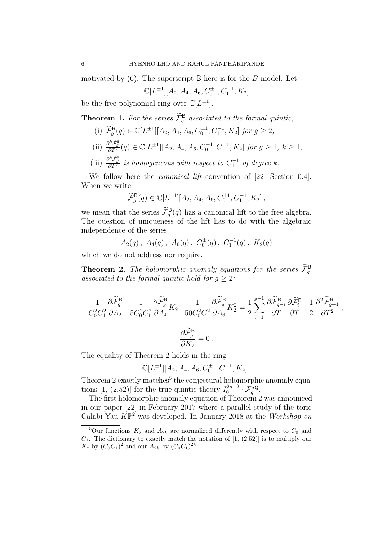motivated by  $(6)$ . The superscript B here is for the B-model. Let

$$
\mathbb{C}[L^{\pm 1}][A_2, A_4, A_6, C_0^{\pm 1}, C_1^{-1}, K_2]
$$

be the free polynomial ring over  $\mathbb{C}[L^{\pm 1}]$ .

**Theorem 1.** For the series  $\mathcal{F}_{g}^{\mathsf{B}}$  associated to the formal quintic,

- (i)  $\widetilde{\mathcal{F}}_g^{\mathsf{B}}(q) \in \mathbb{C}[L^{\pm 1}][A_2, A_4, A_6, C_0^{\pm 1}, C_1^{-1}, K_2]$  for  $g \geq 2$ , (ii)  $\frac{\partial^k \tilde{\mathcal{F}}_g^{\mathsf{B}}}{\partial T^k}(q) \in \mathbb{C}[L^{\pm 1}][A_2, A_4, A_6, C_0^{\pm 1}, C_1^{-1}, K_2] \text{ for } g \ge 1, k \ge 1,$
- (iii)  $\frac{\partial^k \tilde{\mathcal{F}}_g^{\mathsf{B}}}{\partial T^k}$  is homogeneous with respect to  $C_1^{-1}$  of degree k.

We follow here the *canonical lift* convention of [22, Section 0.4]. When we write

$$
\widetilde{\mathcal{F}}_g^{\mathsf{B}}(q) \in \mathbb{C}[L^{\pm 1}][A_2, A_4, A_6, C_0^{\pm 1}, C_1^{-1}, K_2],
$$

we mean that the series  $\widetilde{\mathcal{F}}_g^{\mathsf{B}}(q)$  has a canonical lift to the free algebra. The question of uniqueness of the lift has to do with the algebraic independence of the series

 $A_2(q)$ ,  $A_4(q)$ ,  $A_6(q)$ ,  $C_0^{\pm}(q)$ ,  $C_1^{-1}(q)$ ,  $K_2(q)$ 

which we do not address nor require.

**Theorem 2.** The holomorphic anomaly equations for the series  $\mathcal{F}_{g}^{\mathbf{B}}$ associated to the formal quintic hold for  $q \geq 2$ :

$$
\label{eq:2d} \begin{split} \frac{1}{C_0^2C_1^2}\frac{\partial \widetilde{\mathcal{F}}_g^{\mathsf{B}}}{\partial A_2}-\frac{1}{5C_0^2C_1^2}\frac{\partial \widetilde{\mathcal{F}}_g^{\mathsf{B}}}{\partial A_4}K_2+\frac{1}{50C_0^2C_1^2}\frac{\partial \widetilde{\mathcal{F}}_g^{\mathsf{B}}}{\partial A_6}K_2^2=\frac{1}{2}\sum_{i=1}^{g-1}\frac{\partial \widetilde{\mathcal{F}}_g^{\mathsf{B}}}{\partial T}-\frac{\partial \widetilde{\mathcal{F}}_g^{\mathsf{B}}}{\partial T}+\frac{1}{2}\frac{\partial^2 \widetilde{\mathcal{F}}_g^{\mathsf{B}}}{\partial T^2}\,,\\ \frac{\partial \widetilde{\mathcal{F}}_g^{\mathsf{B}}}{\partial K_2}=0\,. \end{split}
$$

The equality of Theorem 2 holds in the ring

$$
\mathbb{C}[L^{\pm 1}][A_2, A_4, A_6, C_0^{\pm 1}, C_1^{-1}, K_2].
$$

Theorem 2 exactly matches<sup>5</sup> the conjectural holomorphic anomaly equations [1, (2.52)] for the true quintic theory  $I_0^{2g-2}$  $\mathcal{F}_g^{\mathsf{SQ}-2} \cdot \mathcal{F}_g^{\mathsf{SQ}}.$ 

The first holomorphic anomaly equation of Theorem 2 was announced in our paper [22] in February 2017 where a parallel study of the toric Calabi-Yau  $K\mathbb{P}^2$  was developed. In January 2018 at the Workshop on

<sup>&</sup>lt;sup>5</sup>Our functions  $K_2$  and  $A_{2k}$  are normalized differently with respect to  $C_0$  and  $C_1$ . The dictionary to exactly match the notation of  $[1, (2.52)]$  is to multiply our  $K_2$  by  $(C_0C_1)^2$  and our  $A_{2k}$  by  $(C_0C_1)^{2k}$ .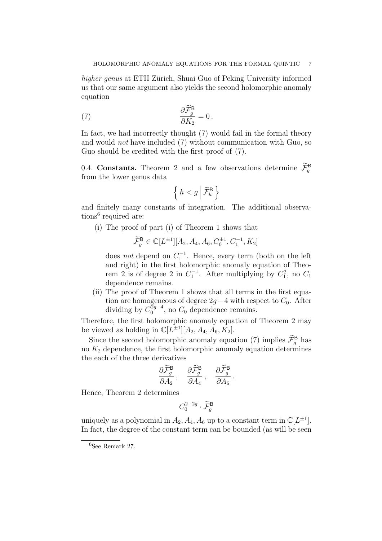higher genus at ETH Zürich, Shuai Guo of Peking University informed us that our same argument also yields the second holomorphic anomaly equation

(7) 
$$
\frac{\partial \mathcal{F}_g^{\mathsf{B}}}{\partial K_2} = 0.
$$

In fact, we had incorrectly thought (7) would fail in the formal theory and would not have included (7) without communication with Guo, so Guo should be credited with the first proof of (7).

0.4. Constants. Theorem 2 and a few observations determine  $\mathcal{F}_{g}^{\mathbf{B}}$ from the lower genus data

$$
\left\{\,h < g\,\middle|\, \widetilde{\mathcal{F}}_h^{\mathrm{B}}\,\right\}
$$

and finitely many constants of integration. The additional observations<sup>6</sup> required are:

(i) The proof of part (i) of Theorem 1 shows that

$$
\widetilde{\mathcal{F}}_g^{\mathsf{B}} \in \mathbb{C}[L^{\pm 1}][A_2, A_4, A_6, C_0^{\pm 1}, C_1^{-1}, K_2]
$$

does *not* depend on  $C_1^{-1}$ . Hence, every term (both on the left and right) in the first holomorphic anomaly equation of Theorem 2 is of degree 2 in  $C_1^{-1}$ . After multiplying by  $C_1^2$ , no  $C_1$ dependence remains.

(ii) The proof of Theorem 1 shows that all terms in the first equation are homogeneous of degree  $2g-4$  with respect to  $C_0$ . After dividing by  $C_0^{2g-4}$  $_{0}^{2g-4}$ , no  $C_{0}$  dependence remains.

Therefore, the first holomorphic anomaly equation of Theorem 2 may be viewed as holding in  $\mathbb{C}[L^{\pm 1}][A_2, A_4, A_6, K_2]$ .

Since the second holomorphic anomaly equation (7) implies  $\mathcal{F}_{g}^{\mathbf{B}}$  has no  $K_2$  dependence, the first holomorphic anomaly equation determines the each of the three derivatives

$$
\frac{\partial \widetilde{\mathcal{F}}_g^{\mathsf{B}}}{\partial A_2}, \quad \frac{\partial \widetilde{\mathcal{F}}_g^{\mathsf{B}}}{\partial A_4}, \quad \frac{\partial \widetilde{\mathcal{F}}_g^{\mathsf{B}}}{\partial A_6}.
$$

Hence, Theorem 2 determines

$$
C_0^{2-2g}\cdot\widetilde{\mathcal{F}}_g^{\mathsf{B}}
$$

uniquely as a polynomial in  $A_2, A_4, A_6$  up to a constant term in  $\mathbb{C}[L^{\pm 1}]$ . In fact, the degree of the constant term can be bounded (as will be seen

 ${}^{6}$ See Remark 27.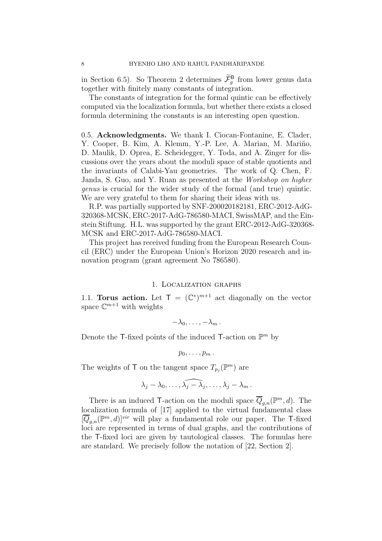in Section 6.5). So Theorem 2 determines  $\mathcal{F}_g^{\mathsf{B}}$  from lower genus data together with finitely many constants of integration.

The constants of integration for the formal quintic can be effectively computed via the localization formula, but whether there exists a closed formula determining the constants is an interesting open question.

0.5. Acknowledgments. We thank I. Ciocan-Fontanine, E. Clader, Y. Cooper, B. Kim, A. Klemm, Y.-P. Lee, A. Marian, M. Mariño, D. Maulik, D. Oprea, E. Scheidegger, Y. Toda, and A. Zinger for discussions over the years about the moduli space of stable quotients and the invariants of Calabi-Yau geometries. The work of Q. Chen, F. Janda, S. Guo, and Y. Ruan as presented at the Workshop on higher genus is crucial for the wider study of the formal (and true) quintic. We are very grateful to them for sharing their ideas with us.

R.P. was partially supported by SNF-200020182181, ERC-2012-AdG-320368-MCSK, ERC-2017-AdG-786580-MACI, SwissMAP, and the Einstein Stiftung. H.L. was supported by the grant ERC-2012-AdG-320368- MCSK and ERC-2017-AdG-786580-MACI.

This project has received funding from the European Research Council (ERC) under the European Union's Horizon 2020 research and innovation program (grant agreement No 786580).

## 1. Localization graphs

1.1. Torus action. Let  $\mathsf{T} = (\mathbb{C}^*)^{m+1}$  act diagonally on the vector space  $\mathbb{C}^{m+1}$  with weights

$$
-\lambda_0,\ldots,-\lambda_m.
$$

Denote the T-fixed points of the induced T-action on  $\mathbb{P}^m$  by

$$
p_0,\ldots,p_m.
$$

The weights of T on the tangent space  $T_{p_j}(\mathbb{P}^m)$  are

$$
\lambda_j-\lambda_0,\ldots,\widehat{\lambda_j-\lambda_j},\ldots,\lambda_j-\lambda_m.
$$

There is an induced T-action on the moduli space  $\overline{Q}_{g,n}(\mathbb{P}^m,d)$ . The localization formula of [17] applied to the virtual fundamental class  $[\overline{Q}_{g,n}(\mathbb{P}^m,d)]^{vir}$  will play a fundamental role our paper. The T-fixed loci are represented in terms of dual graphs, and the contributions of the T-fixed loci are given by tautological classes. The formulas here are standard. We precisely follow the notation of [22, Section 2].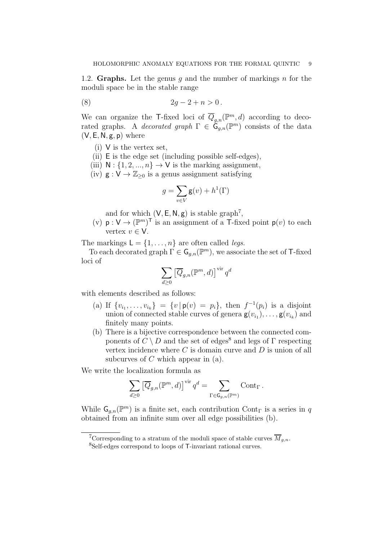1.2. Graphs. Let the genus q and the number of markings  $n$  for the moduli space be in the stable range

(8) 
$$
2g - 2 + n > 0
$$
.

We can organize the T-fixed loci of  $\overline{Q}_{g,n}(\mathbb{P}^m,d)$  according to decorated graphs. A *decorated graph*  $\Gamma \in \tilde{\mathsf{G}}_{g,n}(\mathbb{P}^m)$  consists of the data  $(V, E, N, g, p)$  where

- (i) V is the vertex set,
- (ii) E is the edge set (including possible self-edges),
- (iii)  $N : \{1, 2, ..., n\} \rightarrow V$  is the marking assignment,
- (iv)  $g: V \to \mathbb{Z}_{\geq 0}$  is a genus assignment satisfying

$$
g=\sum_{v\in V}\operatorname{g}(v)+h^1(\Gamma)
$$

and for which  $(V, E, N, g)$  is stable graph<sup>7</sup>,

(v)  $p: V \to (\mathbb{P}^m)^\top$  is an assignment of a T-fixed point  $p(v)$  to each vertex  $v \in V$ .

The markings  $L = \{1, \ldots, n\}$  are often called *legs*.

To each decorated graph  $\Gamma \in \mathsf{G}_{g,n}(\mathbb{P}^m)$ , we associate the set of T-fixed loci of

$$
\sum_{d\geq 0} \left[\overline{Q}_{g,n}({\mathbb{P}}^m,d)\right]^{\operatorname{vir}} q^d
$$

with elements described as follows:

- (a) If  $\{v_{i_1}, \ldots, v_{i_k}\} = \{v \mid \mathbf{p}(v) = p_i\}$ , then  $f^{-1}(p_i)$  is a disjoint union of connected stable curves of genera  $\mathbf{g}(v_{i_1}), \ldots, \mathbf{g}(v_{i_k})$  and finitely many points.
- (b) There is a bijective correspondence between the connected components of  $C \setminus D$  and the set of edges<sup>8</sup> and legs of  $\Gamma$  respecting vertex incidence where  $C$  is domain curve and  $D$  is union of all subcurves of  $C$  which appear in  $(a)$ .

We write the localization formula as

$$
\sum_{d\geq 0} \left[\overline{Q}_{g,n}({\mathbb{P}}^m,d)\right]^{\operatorname{vir}} q^d = \sum_{\Gamma \in \mathsf{G}_{g,n}({\mathbb{P}}^m)} \operatorname{Cont}_\Gamma.
$$

While  $\mathsf{G}_{g,n}(\mathbb{P}^m)$  is a finite set, each contribution Cont<sub>r</sub> is a series in q obtained from an infinite sum over all edge possibilities (b).

<sup>&</sup>lt;sup>7</sup>Corresponding to a stratum of the moduli space of stable curves  $\overline{M}_{q,n}$ . <sup>8</sup>Self-edges correspond to loops of T-invariant rational curves.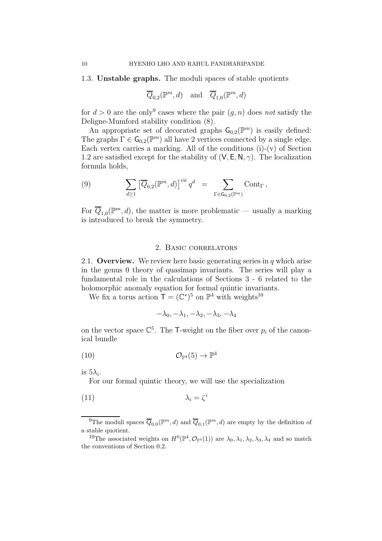#### 1.3. Unstable graphs. The moduli spaces of stable quotients

$$
\overline{Q}_{0,2}(\mathbb{P}^m,d)
$$
 and  $\overline{Q}_{1,0}(\mathbb{P}^m,d)$ 

for  $d > 0$  are the only<sup>9</sup> cases where the pair  $(g, n)$  does not satisfy the Deligne-Mumford stability condition (8).

An appropriate set of decorated graphs  $\mathsf{G}_{0,2}(\mathbb{P}^m)$  is easily defined: The graphs  $\Gamma \in \mathsf{G}_{0,2}(\mathbb{P}^m)$  all have 2 vertices connected by a single edge. Each vertex carries a marking. All of the conditions (i)-(v) of Section 1.2 are satisfied except for the stability of  $(V, E, N, \gamma)$ . The localization formula holds,

(9) 
$$
\sum_{d\geq 1} \left[ \overline{Q}_{0,2}(\mathbb{P}^m,d) \right]^{\text{vir}} q^d = \sum_{\Gamma \in \mathsf{G}_{0,2}(\mathbb{P}^m)} \text{Cont}_{\Gamma},
$$

For  $\overline{Q}_{1,0}(\mathbb{P}^m,d)$ , the matter is more problematic — usually a marking is introduced to break the symmetry.

### 2. Basic correlators

2.1. Overview. We review here basic generating series in  $q$  which arise in the genus 0 theory of quasimap invariants. The series will play a fundamental role in the calculations of Sections 3 - 6 related to the holomorphic anomaly equation for formal quintic invariants.

We fix a torus action  $\mathsf{T} = (\mathbb{C}^*)^5$  on  $\mathbb{P}^4$  with weights<sup>10</sup>

$$
-\lambda_0, -\lambda_1, -\lambda_2, -\lambda_3, -\lambda_4
$$

on the vector space  $\mathbb{C}^5$ . The T-weight on the fiber over  $p_i$  of the canonical bundle

$$
(10) \t\t \t\t \mathcal{O}_{\mathbb{P}^4}(5) \to \mathbb{P}^4
$$

is  $5\lambda_i$ .

For our formal quintic theory, we will use the specialization

$$
\lambda_i = \zeta^i
$$

<sup>&</sup>lt;sup>9</sup>The moduli spaces  $\overline{Q}_{0,0}(\mathbb{P}^m,d)$  and  $\overline{Q}_{0,1}(\mathbb{P}^m,d)$  are empty by the definition of a stable quotient.

<sup>&</sup>lt;sup>10</sup>The associated weights on  $H^0(\mathbb{P}^4, \mathcal{O}_{\mathbb{P}^4}(1))$  are  $\lambda_0, \lambda_1, \lambda_2, \lambda_3, \lambda_4$  and so match the conventions of Section 0.2.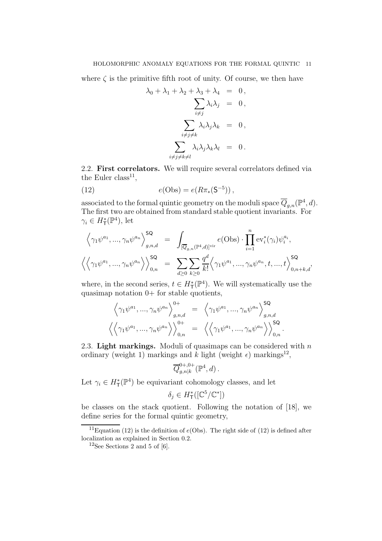where  $\zeta$  is the primitive fifth root of unity. Of course, we then have

$$
\lambda_0 + \lambda_1 + \lambda_2 + \lambda_3 + \lambda_4 = 0,
$$
  

$$
\sum_{i \neq j} \lambda_i \lambda_j = 0,
$$
  

$$
\sum_{i \neq j \neq k} \lambda_i \lambda_j \lambda_k = 0,
$$
  

$$
\sum_{i \neq j \neq k \neq l} \lambda_i \lambda_j \lambda_k \lambda_l = 0.
$$

2.2. First correlators. We will require several correlators defined via the Euler class<sup>11</sup>,

(12) 
$$
e(\text{Obs}) = e(R\pi_*(\mathsf{S}^{-5}))\,,
$$

associated to the formal quintic geometry on the moduli space  $\overline{Q}_{g,n}(\mathbb{P}^4, d)$ . The first two are obtained from standard stable quotient invariants. For  $\gamma_i \in H^*_{\mathsf{T}}(\mathbb{P}^4)$ , let

$$
\left\langle \gamma_1 \psi^{a_1}, \dots, \gamma_n \psi^{a_n} \right\rangle_{g,n,d}^{\mathsf{SQ}} = \int_{[\overline{Q}_{g,n}(\mathbb{P}^4,d)]^{\text{vir}}} e(\text{Obs}) \cdot \prod_{i=1}^n \text{ev}_i^*(\gamma_i) \psi_i^{a_i},
$$
  

$$
\left\langle \left\langle \gamma_1 \psi^{a_1}, \dots, \gamma_n \psi^{a_n} \right\rangle \right\rangle_{0,n}^{\mathsf{SQ}} = \sum_{d \geq 0} \sum_{k \geq 0} \frac{q^d}{k!} \left\langle \gamma_1 \psi^{a_1}, \dots, \gamma_n \psi^{a_n}, t, \dots, t \right\rangle_{0,n+k,d}^{\mathsf{SQ}},
$$

where, in the second series,  $t \in H^*_{\mathsf{T}}(\mathbb{P}^4)$ . We will systematically use the quasimap notation  $0+$  for stable quotients,

$$
\left\langle \gamma_1 \psi^{a_1}, \dots, \gamma_n \psi^{a_n} \right\rangle_{g,n,d}^{0+} = \left\langle \gamma_1 \psi^{a_1}, \dots, \gamma_n \psi^{a_n} \right\rangle_{g,n,d}^{\mathsf{SQ}} \left\langle \left\langle \gamma_1 \psi^{a_1}, \dots, \gamma_n \psi^{a_n} \right\rangle \right\rangle_{0,n}^{0+} = \left\langle \left\langle \gamma_1 \psi^{a_1}, \dots, \gamma_n \psi^{a_n} \right\rangle \right\rangle_{0,n}^{\mathsf{SQ}}.
$$

2.3. Light markings. Moduli of quasimaps can be considered with  $n$ ordinary (weight 1) markings and k light (weight  $\epsilon$ ) markings<sup>12</sup>,

$$
\overline{Q}_{g,n|k}^{0+,0+}(\mathbb{P}^4,d)\,.
$$

Let  $\gamma_i \in H^*_{\mathsf{T}}(\mathbb{P}^4)$  be equivariant cohomology classes, and let

$$
\delta_j \in H^*_{\mathsf{T}}([\mathbb{C}^5/\mathbb{C}^*])
$$

be classes on the stack quotient. Following the notation of [18], we define series for the formal quintic geometry,

<sup>&</sup>lt;sup>11</sup>Equation (12) is the definition of  $e(\text{Obs})$ . The right side of (12) is defined after localization as explained in Section 0.2.

 $12$ See Sections 2 and 5 of [6].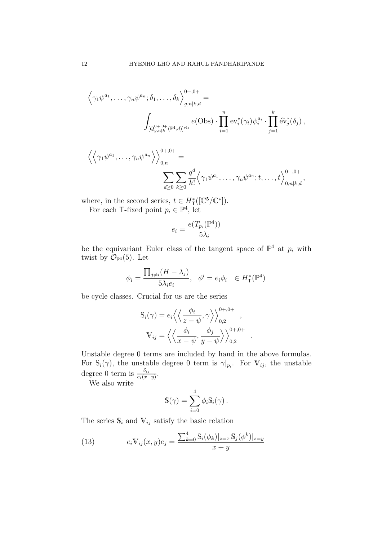$$
\left\langle \gamma_1 \psi^{a_1}, \dots, \gamma_n \psi^{a_n}; \delta_1, \dots, \delta_k \right\rangle_{g,n|k,d}^{\theta+,0+} =
$$
\n
$$
\int_{[\overline{Q}_{g,n|k}^{0+,0+} (\mathbb{P}^4,d)]^{\text{vir}}} e(\text{Obs}) \cdot \prod_{i=1}^n \text{ev}_i^*(\gamma_i) \psi_i^{a_i} \cdot \prod_{j=1}^k \hat{\text{ev}}_j^*(\delta_j),
$$

$$
\left\langle \left\langle \gamma_1 \psi^{a_1}, \dots, \gamma_n \psi^{a_n} \right\rangle \right\rangle_{0,n}^{0+,0+} =
$$

$$
\sum_{d \geq 0} \sum_{k \geq 0} \frac{q^d}{k!} \left\langle \gamma_1 \psi^{a_1}, \dots, \gamma_n \psi^{a_n}; t, \dots, t \right\rangle_{0,n|k,d}^{0+,0+},
$$

where, in the second series,  $t \in H^*_{\mathsf{T}}([\mathbb{C}^5/\mathbb{C}^*]).$ For each T-fixed point  $p_i \in \mathbb{P}^4$ , let

$$
e_i = \frac{e(T_{p_i}(\mathbb{P}^4))}{5\lambda_i}
$$

be the equivariant Euler class of the tangent space of  $\mathbb{P}^4$  at  $p_i$  with twist by  $\mathcal{O}_{\mathbb{P}^4}(5)$ . Let

$$
\phi_i = \frac{\prod_{j \neq i} (H - \lambda_j)}{5\lambda_i e_i}, \quad \phi^i = e_i \phi_i \in H^*_{\mathsf{T}}(\mathbb{P}^4)
$$

be cycle classes. Crucial for us are the series

$$
\mathbb{S}_{i}(\gamma) = e_{i} \left\langle \left\langle \frac{\phi_{i}}{z - \psi}, \gamma \right\rangle \right\rangle_{0,2}^{0+,0+},
$$

$$
\mathbb{V}_{ij} = \left\langle \left\langle \frac{\phi_{i}}{x - \psi}, \frac{\phi_{j}}{y - \psi} \right\rangle \right\rangle_{0,2}^{0+,0+}
$$

.

Unstable degree 0 terms are included by hand in the above formulas. For  $\mathbb{S}_i(\gamma)$ , the unstable degree 0 term is  $\gamma|_{p_i}$ . For  $\mathbb{V}_{ij}$ , the unstable degree 0 term is  $\frac{\delta_{ij}}{e_i(x+y)}$ .

We also write

$$
\mathbb{S}(\gamma) = \sum_{i=0}^{4} \phi_i \mathbb{S}_i(\gamma) .
$$

The series  $\mathbb{S}_i$  and  $\mathbb{V}_{ij}$  satisfy the basic relation

(13) 
$$
e_i \mathbb{V}_{ij}(x, y) e_j = \frac{\sum_{k=0}^4 \mathbb{S}_i(\phi_k)|_{z=x} \mathbb{S}_j(\phi^k)|_{z=y}}{x+y}
$$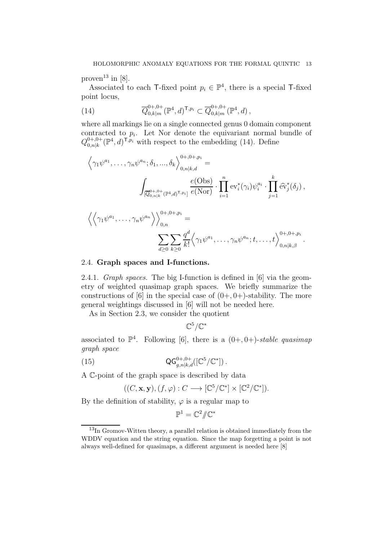proven<sup>13</sup> in [8].

Associated to each  $\mathsf{T}\text{-fixed}$  point  $p_i \in \mathbb{P}^4$ , there is a special  $\mathsf{T}\text{-fixed}$ point locus,

(14) 
$$
\overline{Q}_{0,k|m}^{0+,0+}(\mathbb{P}^4,d)^{\mathsf{T},p_i} \subset \overline{Q}_{0,k|m}^{0+,0+}(\mathbb{P}^4,d)\,,
$$

where all markings lie on a single connected genus 0 domain component contracted to  $p_i$ . Let Nor denote the equivariant normal bundle of  $Q_{0\;nlk}^{0+,0+}$  $_{0,n|k}^{0+,0+}$  ( $\mathbb{P}^4$ , d)<sup>T</sup>, $p_i$  with respect to the embedding (14). Define

$$
\left\langle \gamma_1 \psi^{a_1}, \dots, \gamma_n \psi^{a_n}; \delta_1, \dots, \delta_k \right\rangle_{0,n|k,d}^{0+,0+,p_i} =
$$
\n
$$
\int_{[\overline{Q}_{0,n|k}^{0+,0+} (\mathbb{P}^4,d)^{\mathsf{T},p_i}]} \frac{e(\text{Obs})}{e(\text{Nor})} \cdot \prod_{i=1}^n \text{ev}_i^*(\gamma_i) \psi_i^{a_i} \cdot \prod_{j=1}^k \widehat{\text{ev}}_j^*(\delta_j),
$$
\n
$$
\left\langle \left\langle \gamma_1 \psi^{a_1}, \dots, \gamma_n \psi^{a_n} \right\rangle \right\rangle_{0,n}^{0+,0+,p_i} =
$$
\n
$$
\sum_{d \geq 0} \sum_{k \geq 0} \frac{q^d}{k!} \left\langle \gamma_1 \psi^{a_1}, \dots, \gamma_n \psi^{a_n}; t, \dots, t \right\rangle_{0,n|k,\beta}^{0+,0+,p_i}.
$$

#### 2.4. Graph spaces and I-functions.

2.4.1. Graph spaces. The big I-function is defined in [6] via the geometry of weighted quasimap graph spaces. We briefly summarize the constructions of [6] in the special case of  $(0+, 0+)$ -stability. The more general weightings discussed in [6] will not be needed here.

As in Section 2.3, we consider the quotient

 $\mathbb{C}^5/\mathbb{C}^*$ 

associated to  $\mathbb{P}^4$ . Following [6], there is a  $(0+,0+)$ -stable quasimap graph space

(15) 
$$
\mathsf{QG}_{g,n|k,d}^{0+,0+}([\mathbb{C}^5/\mathbb{C}^*])\,.
$$

A C-point of the graph space is described by data

$$
((C, \mathbf{x}, \mathbf{y}), (f, \varphi) : C \longrightarrow [\mathbb{C}^5/\mathbb{C}^*] \times [\mathbb{C}^2/\mathbb{C}^*]).
$$

By the definition of stability,  $\varphi$  is a regular map to

$$
\mathbb{P}^1=\mathbb{C}^2/\!\!/\mathbb{C}^*
$$

<sup>13</sup>In Gromov-Witten theory, a parallel relation is obtained immediately from the WDDV equation and the string equation. Since the map forgetting a point is not always well-defined for quasimaps, a different argument is needed here [8]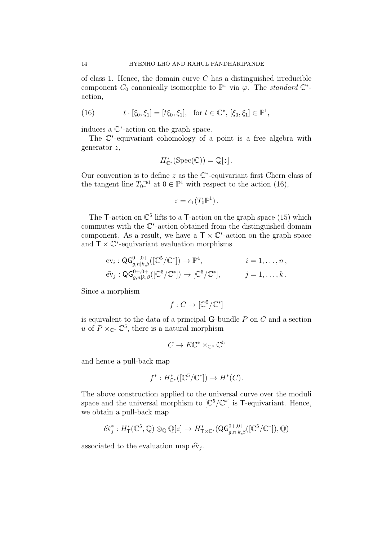of class 1. Hence, the domain curve  $C$  has a distinguished irreducible component  $C_0$  canonically isomorphic to  $\mathbb{P}^1$  via  $\varphi$ . The *standard*  $\mathbb{C}^*$ action,

(16) 
$$
t \cdot [\xi_0, \xi_1] = [t\xi_0, \xi_1], \text{ for } t \in \mathbb{C}^*, [\xi_0, \xi_1] \in \mathbb{P}^1,
$$

induces a C ∗ -action on the graph space.

The  $\mathbb{C}^*$ -equivariant cohomology of a point is a free algebra with generator z,

$$
H_{\mathbb{C}^*}^*(\mathrm{Spec}(\mathbb{C})) = \mathbb{Q}[z].
$$

Our convention is to define  $z$  as the  $\mathbb{C}^*$ -equivariant first Chern class of the tangent line  $T_0\mathbb{P}^1$  at  $0 \in \mathbb{P}^1$  with respect to the action (16),

$$
z=c_1(T_0\mathbb{P}^1).
$$

The T-action on  $\mathbb{C}^5$  lifts to a T-action on the graph space (15) which commutes with the C ∗ -action obtained from the distinguished domain component. As a result, we have a  $\mathsf{T} \times \mathbb{C}^*$ -action on the graph space and  $T \times \mathbb{C}^*$ -equivariant evaluation morphisms

$$
\begin{aligned}\n\operatorname{ev}_i: \mathsf{QG}_{g,n|k,\beta}^{0+,0+}([\mathbb{C}^5/\mathbb{C}^*]) &\to \mathbb{P}^4, & i = 1,\dots,n, \\
\widehat{\operatorname{ev}}_j: \mathsf{QG}_{g,n|k,\beta}^{0+,0+}([\mathbb{C}^5/\mathbb{C}^*]) &\to [\mathbb{C}^5/\mathbb{C}^*], & j = 1,\dots,k.\n\end{aligned}
$$

Since a morphism

$$
f: C \to [\mathbb{C}^5/\mathbb{C}^*]
$$

is equivalent to the data of a principal  $G$ -bundle  $P$  on  $C$  and a section u of  $P \times_{\mathbb{C}^*} \mathbb{C}^5$ , there is a natural morphism

$$
C \to E\mathbb{C}^* \times_{\mathbb{C}^*} \mathbb{C}^5
$$

and hence a pull-back map

$$
f^*: H_{\mathbb{C}^*}^*([\mathbb{C}^5/\mathbb{C}^*]) \to H^*(C).
$$

The above construction applied to the universal curve over the moduli space and the universal morphism to  $[\mathbb{C}^5/\mathbb{C}^*]$  is T-equivariant. Hence, we obtain a pull-back map

$$
\widehat{\text{ev}}_j^*: H^*_\mathsf{T}(\mathbb{C}^5, \mathbb{Q}) \otimes_{\mathbb{Q}} \mathbb{Q}[z] \to H^*_{\mathsf{T} \times \mathbb{C}^*}(\mathsf{Q} \mathsf{G}^{0+,0+}_{g,n|k,\beta}([\mathbb{C}^5/\mathbb{C}^*]), \mathbb{Q})
$$

associated to the evaluation map  $\widehat{\text{ev}}_j$ .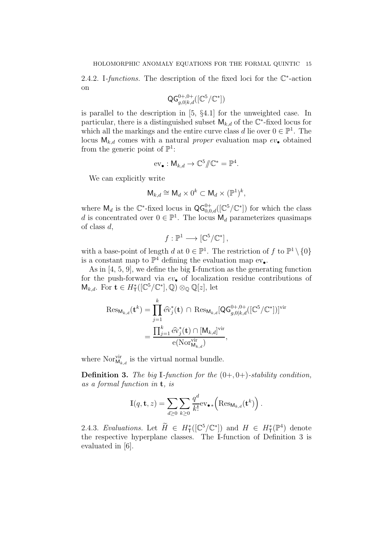2.4.2. I-functions. The description of the fixed loci for the  $\mathbb{C}^*$ -action on

$$
\mathsf{QG}_{g,0|k,d}^{0+,0+}([\mathbb{C}^5/\mathbb{C}^*])
$$

is parallel to the description in [5, §4.1] for the unweighted case. In particular, there is a distinguished subset  $\mathsf{M}_{k,d}$  of the  $\mathbb{C}^*$ -fixed locus for which all the markings and the entire curve class d lie over  $0 \in \mathbb{P}^1$ . The locus  $M_{k,d}$  comes with a natural *proper* evaluation map  $ev_{\bullet}$  obtained from the generic point of  $\mathbb{P}^1$ :

$$
\mathrm{ev}_{\bullet}: \mathsf{M}_{k,d} \to \mathbb{C}^5/\!\!/ \mathbb{C}^* = \mathbb{P}^4.
$$

We can explicitly write

$$
\mathsf{M}_{k,d} \cong \mathsf{M}_d \times 0^k \subset \mathsf{M}_d \times (\mathbb{P}^1)^k,
$$

where  $\mathsf{M}_d$  is the  $\mathbb{C}^*$ -fixed locus in  $\mathsf{QG}_{0,0,d}^{0+}([\mathbb{C}^5/\mathbb{C}^*])$  for which the class d is concentrated over  $0 \in \mathbb{P}^1$ . The locus  $\mathsf{M}_d$  parameterizes quasimaps of class  $d$ ,

$$
f:\mathbb{P}^1\longrightarrow\left[\mathbb{C}^5/\mathbb{C}^*\right],
$$

with a base-point of length d at  $0 \in \mathbb{P}^1$ . The restriction of f to  $\mathbb{P}^1 \setminus \{0\}$ is a constant map to  $\mathbb{P}^4$  defining the evaluation map  $ev_{\bullet}$ .

As in [4, 5, 9], we define the big I-function as the generating function for the push-forward via  $ev_{\bullet}$  of localization residue contributions of  $\mathsf{M}_{k,d}$ . For  $\mathbf{t} \in H^*_{\mathsf{T}}([\mathbb{C}^5/\mathbb{C}^*], \mathbb{Q}) \otimes_{\mathbb{Q}} \mathbb{Q}[z]$ , let

$$
\operatorname{Res}_{\mathsf{M}_{k,d}}(\mathbf{t}^{k}) = \prod_{j=1}^{k} \widehat{\mathrm{ev}}_{j}^{*}(\mathbf{t}) \cap \operatorname{Res}_{\mathsf{M}_{k,d}}[\mathsf{QG}_{g,0|k,d}^{0+,0+}([\mathbb{C}^{5}/\mathbb{C}^{*}])]^{\operatorname{vir}} \\
= \frac{\prod_{j=1}^{k} \widehat{\mathrm{ev}}_{j}^{*}(\mathbf{t}) \cap [\mathsf{M}_{k,d}]^{\operatorname{vir}}}{\mathrm{e}(\mathrm{Nor}_{\mathsf{M}_{k,d}}^{\operatorname{vir}})},
$$

where  $\text{Nor}_{\mathsf{M}_{k,d}}^{\text{vir}}$  is the virtual normal bundle.

**Definition 3.** The big I-function for the  $(0+, 0+)$ -stability condition, as a formal function in t, is

$$
\mathbb{I}(q, \mathbf{t}, z) = \sum_{d \ge 0} \sum_{k \ge 0} \frac{q^d}{k!} \text{ev}_{\bullet *} \left( \text{Res}_{\mathsf{M}_{k,d}}(\mathbf{t}^k) \right)
$$

.

2.4.3. Evaluations. Let  $H \in H^*_{\mathsf{T}}([\mathbb{C}^5/\mathbb{C}^*])$  and  $H \in H^*_{\mathsf{T}}(\mathbb{P}^4)$  denote the respective hyperplane classes. The I-function of Definition 3 is evaluated in [6].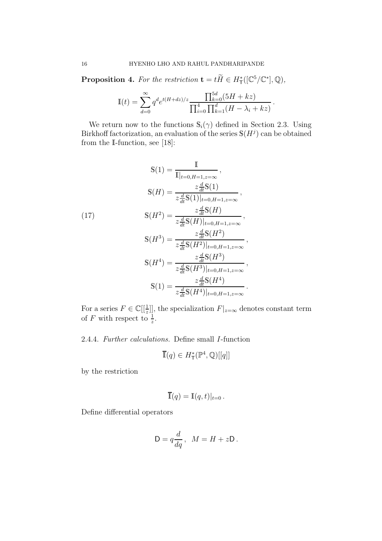**Proposition 4.** For the restriction  $\mathbf{t} = t\tilde{H} \in H^*_{\mathsf{T}}([\mathbb{C}^5/\mathbb{C}^*], \mathbb{Q}),$ 

$$
\mathbb{I}(t) = \sum_{d=0}^{\infty} q^d e^{t(H+dz)/z} \frac{\prod_{k=0}^{5d} (5H+kz)}{\prod_{i=0}^{4} \prod_{k=1}^{d} (H-\lambda_i+kz)}.
$$

We return now to the functions  $\mathbb{S}_i(\gamma)$  defined in Section 2.3. Using Birkhoff factorization, an evaluation of the series  $\mathbb{S}(H^j)$  can be obtained from the I-function, see [18]:

$$
S(1) = \frac{I}{I|_{t=0, H=1, z=\infty}},
$$
  
\n
$$
S(H) = \frac{z\frac{d}{dt}S(1)}{z\frac{d}{dt}S(1)|_{t=0, H=1, z=\infty}},
$$
  
\n
$$
S(H^2) = \frac{z\frac{d}{dt}S(H)}{z\frac{d}{dt}S(H)|_{t=0, H=1, z=\infty}},
$$
  
\n
$$
S(H^3) = \frac{z\frac{d}{dt}S(H^2)}{z\frac{d}{dt}S(H^2)|_{t=0, H=1, z=\infty}},
$$
  
\n
$$
S(H^4) = \frac{z\frac{d}{dt}S(H^3)}{z\frac{d}{dt}S(H^3)|_{t=0, H=1, z=\infty}},
$$
  
\n
$$
S(1) = \frac{z\frac{d}{dt}S(H^4)}{z\frac{d}{dt}S(H^4)|_{t=0, H=1, z=\infty}}.
$$

For a series  $F \in \mathbb{C}[[\frac{1}{z}]]$ , the specialization  $F|_{z=\infty}$  denotes constant term of F with respect to  $\frac{1}{z}$ .

2.4.4. Further calculations. Define small I-function

$$
\overline{\mathbb{I}}(q) \in H^*_{\mathsf{T}}(\mathbb{P}^4, \mathbb{Q})[[q]]
$$

by the restriction

$$
\overline{\mathbb{I}}(q) = \mathbb{I}(q,t)|_{t=0}.
$$

Define differential operators

$$
D = q \frac{d}{dq}, \quad M = H + zD.
$$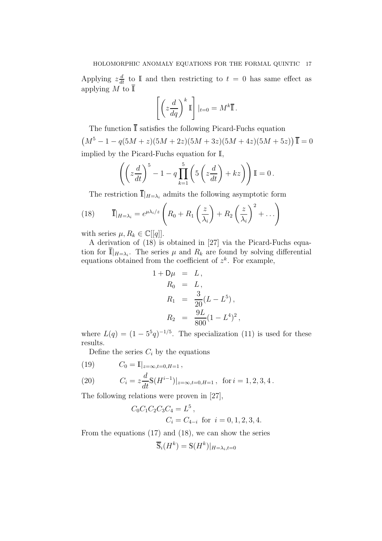Applying  $z\frac{d}{dt}$  to I and then restricting to  $t = 0$  has same effect as applying M to  $\overline{\mathbb{I}}$ 

$$
\left[ \left( z \frac{d}{dq} \right)^k \mathbb{I} \right] |_{t=0} = M^k \overline{\mathbb{I}}.
$$

The function  $\overline{\mathbb{I}}$  satisfies the following Picard-Fuchs equation  $(M^5 - 1 - q(5M + z)(5M + 2z)(5M + 3z)(5M + 4z)(5M + 5z))$ **I** = 0 implied by the Picard-Fuchs equation for I,

$$
\left( \left( z \frac{d}{dt} \right)^5 - 1 - q \prod_{k=1}^5 \left( 5 \left( z \frac{d}{dt} \right) + kz \right) \right) \mathbb{I} = 0 \,.
$$

The restriction  $\overline{\mathbb{I}}|_{H=\lambda_i}$  admits the following asymptotic form

(18) 
$$
\overline{\mathbb{I}}|_{H=\lambda_i}=e^{\mu\lambda_i/z}\left(R_0+R_1\left(\frac{z}{\lambda_i}\right)+R_2\left(\frac{z}{\lambda_i}\right)^2+\ldots\right)
$$

with series  $\mu, R_k \in \mathbb{C}[[q]]$ .

A derivation of (18) is obtained in [27] via the Picard-Fuchs equation for  $\overline{\mathbb{I}}|_{H=\lambda_i}$ . The series  $\mu$  and  $R_k$  are found by solving differential equations obtained from the coefficient of  $z^k$ . For example,

$$
1 + D\mu = L,
$$
  
\n
$$
R_0 = L,
$$
  
\n
$$
R_1 = \frac{3}{20}(L - L^5),
$$
  
\n
$$
R_2 = \frac{9L}{800}(1 - L^4)^2,
$$

where  $L(q) = (1 - 5^5 q)^{-1/5}$ . The specialization (11) is used for these results.

Define the series  $C_i$  by the equations

(19) 
$$
C_0 = \mathbb{I}|_{z=\infty,t=0,H=1},
$$

(20) 
$$
C_i = z \frac{d}{dt} \mathbb{S}(H^{i-1})|_{z=\infty, t=0, H=1}, \text{ for } i=1,2,3,4.
$$

The following relations were proven in [27],

$$
C_0C_1C_2C_3C_4 = L^5
$$
,  
\n $C_i = C_{4-i}$  for  $i = 0, 1, 2, 3, 4$ .

From the equations (17) and (18), we can show the series

$$
\overline{\mathbb{S}}_i(H^k) = \mathbb{S}(H^k)|_{H=\lambda_i, t=0}
$$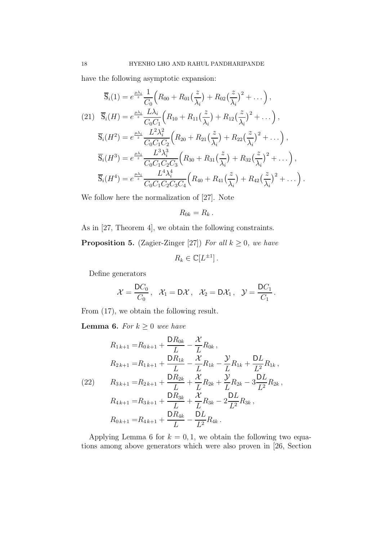have the following asymptotic expansion:

$$
\overline{\mathbf{S}}_{i}(1) = e^{\frac{\mu\lambda_{i}}{z}} \frac{1}{C_{0}} \Big( R_{00} + R_{01} \big( \frac{z}{\lambda_{i}} \big) + R_{02} \big( \frac{z}{\lambda_{i}} \big)^{2} + \dots \Big),
$$
\n
$$
(21) \quad \overline{\mathbf{S}}_{i}(H) = e^{\frac{\mu\lambda_{i}}{z}} \frac{L\lambda_{i}}{C_{0}C_{1}} \Big( R_{10} + R_{11} \big( \frac{z}{\lambda_{i}} \big) + R_{12} \big( \frac{z}{\lambda_{i}} \big)^{2} + \dots \Big),
$$
\n
$$
\overline{\mathbf{S}}_{i}(H^{2}) = e^{\frac{\mu\lambda_{i}}{z}} \frac{L^{2}\lambda_{i}^{2}}{C_{0}C_{1}C_{2}} \Big( R_{20} + R_{21} \big( \frac{z}{\lambda_{i}} \big) + R_{22} \big( \frac{z}{\lambda_{i}} \big)^{2} + \dots \Big),
$$
\n
$$
\overline{\mathbf{S}}_{i}(H^{3}) = e^{\frac{\mu\lambda_{i}}{z}} \frac{L^{3}\lambda_{i}^{3}}{C_{0}C_{1}C_{2}C_{3}} \Big( R_{30} + R_{31} \big( \frac{z}{\lambda_{i}} \big) + R_{32} \big( \frac{z}{\lambda_{i}} \big)^{2} + \dots \Big),
$$
\n
$$
\overline{\mathbf{S}}_{i}(H^{4}) = e^{\frac{\mu\lambda_{i}}{z}} \frac{L^{4}\lambda_{i}^{4}}{C_{0}C_{1}C_{2}C_{3}C_{4}} \Big( R_{40} + R_{41} \big( \frac{z}{\lambda_{i}} \big) + R_{42} \big( \frac{z}{\lambda_{i}} \big)^{2} + \dots \Big).
$$

We follow here the normalization of [27]. Note

$$
R_{0k}=R_k.
$$

As in [27, Theorem 4], we obtain the following constraints.

**Proposition 5.** (Zagier-Zinger [27]) For all  $k \geq 0$ , we have

 $R_k \in \mathbb{C}[L^{\pm 1}]$ .

Define generators

$$
\mathcal{X}=\frac{DC_0}{C_0}, \quad \mathcal{X}_1=D\mathcal{X}, \quad \mathcal{X}_2=D\mathcal{X}_1\,, \quad \mathcal{Y}=\frac{DC_1}{C_1}\,.
$$

From (17), we obtain the following result.

**Lemma 6.** For  $k \geq 0$  wee have

$$
R_{1\,k+1} = R_{0\,k+1} + \frac{DR_{0k}}{L} - \frac{\mathcal{X}}{L} R_{0k} ,
$$
  
\n
$$
R_{2\,k+1} = R_{1\,k+1} + \frac{DR_{1k}}{L} - \frac{\mathcal{X}}{L} R_{1k} - \frac{\mathcal{Y}}{L} R_{1k} + \frac{DL}{L^2} R_{1k} ,
$$
  
\n(22) 
$$
R_{3\,k+1} = R_{2\,k+1} + \frac{DR_{2k}}{L} + \frac{\mathcal{X}}{L} R_{2k} + \frac{\mathcal{Y}}{L} R_{2k} - 3\frac{DL}{L^2} R_{2k} ,
$$
  
\n
$$
R_{4\,k+1} = R_{3\,k+1} + \frac{DR_{3k}}{L} + \frac{\mathcal{X}}{L} R_{3k} - 2\frac{DL}{L^2} R_{3k} ,
$$
  
\n
$$
R_{0\,k+1} = R_{4\,k+1} + \frac{DR_{4k}}{L} - \frac{DL}{L^2} R_{4k} .
$$

Applying Lemma 6 for  $k = 0, 1$ , we obtain the following two equations among above generators which were also proven in [26, Section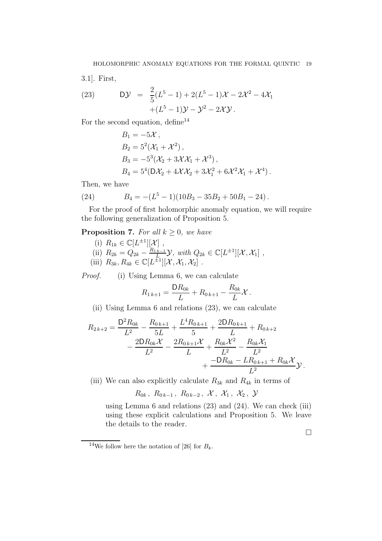3.1]. First,

(23) 
$$
D\mathcal{Y} = \frac{2}{5}(L^5 - 1) + 2(L^5 - 1)\mathcal{X} - 2\mathcal{X}^2 - 4\mathcal{X}_1 + (L^5 - 1)\mathcal{Y} - \mathcal{Y}^2 - 2\mathcal{X}\mathcal{Y}.
$$

For the second equation, define  $14$ 

$$
B_1 = -5\mathcal{X},
$$
  
\n
$$
B_2 = 5^2(\mathcal{X}_1 + \mathcal{X}^2),
$$
  
\n
$$
B_3 = -5^3(\mathcal{X}_2 + 3\mathcal{X}\mathcal{X}_1 + \mathcal{X}^3),
$$
  
\n
$$
B_4 = 5^4(D\mathcal{X}_2 + 4\mathcal{X}\mathcal{X}_2 + 3\mathcal{X}_1^2 + 6\mathcal{X}^2\mathcal{X}_1 + \mathcal{X}^4).
$$

Then, we have

(24) 
$$
B_4 = -(L^5 - 1)(10B_3 - 35B_2 + 50B_1 - 24).
$$

For the proof of first holomorphic anomaly equation, we will require the following generalization of Proposition 5.

**Proposition 7.** For all  $k \geq 0$ , we have

(i)  $R_{1k} \in \mathbb{C}[L^{\pm 1}][\mathcal{X}]$ , (ii)  $R_{2k} = Q_{2k} - \frac{R_{1k-1}}{L_{1k}}$  $\mathcal{L}_{\text{Lip}}^{k=1}$  $\mathcal{Y},$  with  $Q_{2k} \in \mathbb{C}[L^{\pm 1}][\mathcal{X}, \mathcal{X}_1]$ , (iii)  $R_{3k}, R_{4k} \in \mathbb{C}[L^{\pm 1}][\mathcal{X}, \mathcal{X}_1, \mathcal{X}_2]$ .

*Proof.* (i) Using Lemma 6, we can calculate

$$
R_{1\,k+1} = \frac{\mathsf{D}R_{0k}}{L} + R_{0\,k+1} - \frac{R_{0k}}{L}\mathcal{X}.
$$

(ii) Using Lemma 6 and relations (23), we can calculate

$$
R_{2k+2} = \frac{D^2 R_{0k}}{L^2} - \frac{R_{0k+1}}{5L} + \frac{L^4 R_{0k+1}}{5} + \frac{2DR_{0k+1}}{L} + R_{0k+2} - \frac{2DR_{0k}\mathcal{X}}{L^2} - \frac{2R_{0k+1}\mathcal{X}}{L} + \frac{R_{0k}\mathcal{X}^2}{L^2} - \frac{R_{0k}\mathcal{X}_1}{L^2} + \frac{-DR_{0k} - LR_{0k+1} + R_{0k}\mathcal{X}}{L^2} \mathcal{Y}.
$$

(iii) We can also explicitly calculate  $R_{3k}$  and  $R_{4k}$  in terms of

 $R_{0k}$ ,  $R_{0k-1}$ ,  $R_{0k-2}$ ,  $\mathcal{X}$ ,  $\mathcal{X}_1$ ,  $\mathcal{X}_2$ ,  $\mathcal{Y}$ 

using Lemma 6 and relations (23) and (24). We can check (iii) using these explicit calculations and Proposition 5. We leave the details to the reader.

 $\Box$ 

<sup>&</sup>lt;sup>14</sup>We follow here the notation of [26] for  $B_k$ .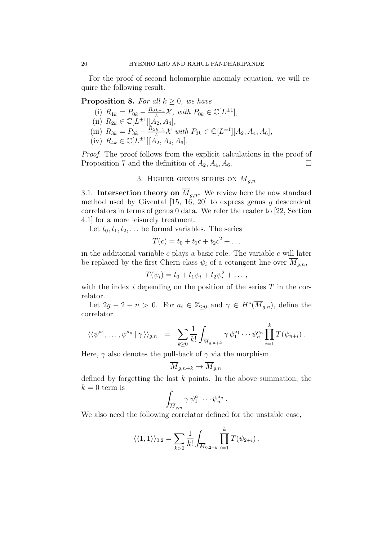For the proof of second holomorphic anomaly equation, we will require the following result.

**Proposition 8.** For all  $k \geq 0$ , we have

(i)  $R_{1k} = P_{0k} - \frac{R_{0k-1}}{L} \mathcal{X}, \text{ with } P_{0k} \in \mathbb{C}[L^{\pm 1}],$ (ii)  $R_{2k} \in \mathbb{C}[L^{\pm 1}][A_2, A_4],$ (iii)  $R_{3k} = P_{3k} - \frac{R_{2k-1}}{L} \mathcal{X}$  with  $P_{3k} \in \mathbb{C}[L^{\pm 1}][A_2, A_4, A_6],$ (iv)  $R_{4k} \in \mathbb{C}[L^{\pm 1}][A_2, A_4, A_6].$ 

Proof. The proof follows from the explicit calculations in the proof of Proposition 7 and the definition of  $A_2$ ,  $A_4$ ,  $A_6$ .

3. HIGHER GENUS SERIES ON  $\overline{M}_{q,n}$ 

3.1. Intersection theory on  $\overline{M}_{g,n}$ . We review here the now standard method used by Givental  $[15, 16, 20]$  to express genus g descendent correlators in terms of genus 0 data. We refer the reader to [22, Section 4.1] for a more leisurely treatment.

Let  $t_0, t_1, t_2, \ldots$  be formal variables. The series

$$
T(c) = t_0 + t_1 c + t_2 c^2 + \dots
$$

in the additional variable c plays a basic role. The variable c will later be replaced by the first Chern class  $\psi_i$  of a cotangent line over  $M_{g,n}$ ,

$$
T(\psi_i)=t_0+t_1\psi_i+t_2\psi_i^2+\ldots,
$$

with the index  $i$  depending on the position of the series  $T$  in the correlator.

Let  $2g - 2 + n > 0$ . For  $a_i \in \mathbb{Z}_{\geq 0}$  and  $\gamma \in H^*(\overline{M}_{g,n})$ , define the correlator

$$
\langle \langle \psi^{a_1}, \ldots, \psi^{a_n} | \gamma \rangle \rangle_{g,n} = \sum_{k \geq 0} \frac{1}{k!} \int_{\overline{M}_{g,n+k}} \gamma \psi_1^{a_1} \cdots \psi_n^{a_n} \prod_{i=1}^k T(\psi_{n+i}).
$$

Here,  $\gamma$  also denotes the pull-back of  $\gamma$  via the morphism

$$
\overline{M}_{g,n+k}\to \overline{M}_{g,n}
$$

defined by forgetting the last  $k$  points. In the above summation, the  $k = 0$  term is

$$
\int_{\overline{M}_{g,n}} \gamma \, \psi_1^{a_1} \cdots \psi_n^{a_n} \, .
$$

We also need the following correlator defined for the unstable case,

$$
\langle\langle 1,1\rangle\rangle_{0,2} = \sum_{k>0} \frac{1}{k!} \int_{\overline{M}_{0,2+k}} \prod_{i=1}^k T(\psi_{2+i}).
$$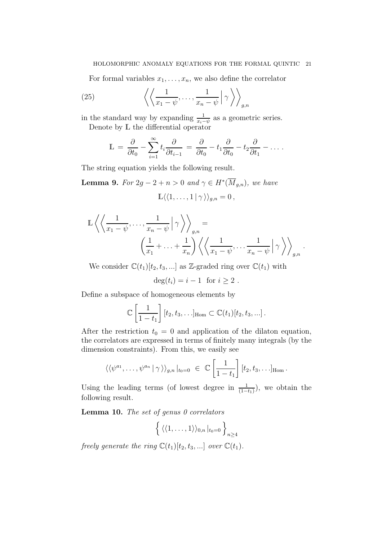### HOLOMORPHIC ANOMALY EQUATIONS FOR THE FORMAL QUINTIC 21

For formal variables  $x_1, \ldots, x_n$ , we also define the correlator

(25) 
$$
\left\langle \left\langle \frac{1}{x_1 - \psi}, \dots, \frac{1}{x_n - \psi} \right| \gamma \right\rangle_{g,n}
$$

in the standard way by expanding  $\frac{1}{x_i-\psi}$  as a geometric series. Denote by L the differential operator

$$
\mathbb{L} = \frac{\partial}{\partial t_0} - \sum_{i=1}^{\infty} t_i \frac{\partial}{\partial t_{i-1}} = \frac{\partial}{\partial t_0} - t_1 \frac{\partial}{\partial t_0} - t_2 \frac{\partial}{\partial t_1} - \dots
$$

The string equation yields the following result.

**Lemma 9.** For  $2g - 2 + n > 0$  and  $\gamma \in H^*(\overline{M}_{g,n})$ , we have  $\mathbb{L}\langle\langle 1,\ldots,1 | \gamma \rangle\rangle_{a,n} = 0$ ,

$$
\mathbb{L}\left\langle \left\langle \frac{1}{x_1 - \psi}, \dots, \frac{1}{x_n - \psi} \middle| \gamma \right\rangle \right\rangle_{g,n} = \left\langle \left( \frac{1}{x_1} + \dots + \frac{1}{x_n} \right) \left\langle \left\langle \frac{1}{x_1 - \psi}, \dots, \frac{1}{x_n - \psi} \middle| \gamma \right\rangle \right\rangle_{g,n} \right\langle g \right\rangle
$$

.

We consider  $\mathbb{C}(t_1)[t_2, t_3, \ldots]$  as Z-graded ring over  $\mathbb{C}(t_1)$  with

 $\deg(t_i) = i - 1$  for  $i > 2$ .

Define a subspace of homogeneous elements by

$$
\mathbb{C}\left[\frac{1}{1-t_1}\right][t_2,t_3,\ldots]_{\text{Hom}} \subset \mathbb{C}(t_1)[t_2,t_3,\ldots].
$$

After the restriction  $t_0 = 0$  and application of the dilaton equation, the correlators are expressed in terms of finitely many integrals (by the dimension constraints). From this, we easily see

$$
\langle \langle \psi^{a_1}, \ldots, \psi^{a_n} | \gamma \rangle \rangle_{g,n} |_{t_0=0} \in \mathbb{C} \left[ \frac{1}{1-t_1} \right] [t_2, t_3, \ldots]_{\text{Hom}}.
$$

Using the leading terms (of lowest degree in  $\frac{1}{(1-t_1)}$ ), we obtain the following result.

**Lemma 10.** The set of genus  $\theta$  correlators

$$
\left\{ \langle \langle 1,\ldots,1\rangle \rangle_{0,n} \,|_{t_0=0} \,\right\}_{n\geq 4}
$$

freely generate the ring  $\mathbb{C}(t_1)[t_2, t_3, \ldots]$  over  $\mathbb{C}(t_1)$ .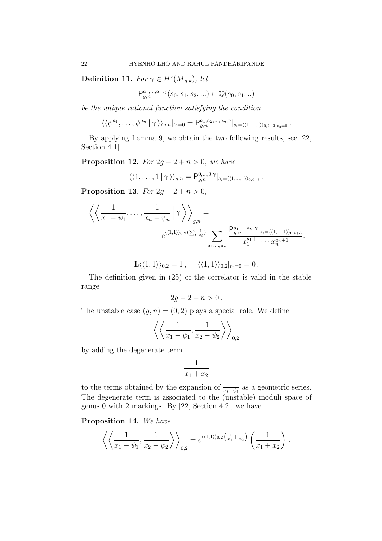**Definition 11.** For  $\gamma \in H^*(\overline{M}_{g,k})$ , let

$$
\mathsf{P}^{a_1,\ldots,a_n,\gamma}_{g,n}(s_0,s_1,s_2,\ldots) \in \mathbb{Q}(s_0,s_1,\ldots)
$$

be the unique rational function satisfying the condition

$$
\langle \langle \psi^{a_1}, \ldots, \psi^{a_n} | \gamma \rangle \rangle_{g,n} |_{t_0=0} = \mathsf{P}^{a_1, a_2, \ldots, a_n, \gamma}_{g,n} |_{s_i=\langle \langle 1, \ldots, 1 \rangle \rangle_{0, i+3} |_{t_0=0}}.
$$

By applying Lemma 9, we obtain the two following results, see [22, Section 4.1].

**Proposition 12.** For  $2g - 2 + n > 0$ , we have

$$
\langle \langle 1,\ldots,1 | \gamma \rangle \rangle_{g,n} = \mathsf{P}^{0,\ldots,0,\gamma}_{g,n} \vert_{s_i=\langle \langle 1,\ldots,1 \rangle \rangle_{0,i+3}}.
$$

Proposition 13. For  $2g - 2 + n > 0$ ,

$$
\left\langle \left\langle \frac{1}{x_1 - \psi_1}, \dots, \frac{1}{x_n - \psi_n} \middle| \gamma \right\rangle \right\rangle_{g,n} =
$$
  

$$
e^{\langle \langle 1,1 \rangle \rangle_{0,2} (\sum_i \frac{1}{x_i})} \sum_{a_1, \dots, a_n} \frac{P_{g,n}^{a_1, \dots, a_n, \gamma} |_{s_i = \langle \langle 1, \dots, 1 \rangle \rangle_{0, i+3}}{x_1^{a_1 + 1} \cdots x_n^{a_n + 1}}.
$$

$$
\mathbb{L}\langle\langle 1,1\rangle\rangle_{0,2}=1\,,\quad \ \langle\langle 1,1\rangle\rangle_{0,2}|_{t_0=0}=0\,.
$$

The definition given in (25) of the correlator is valid in the stable range

$$
2g-2+n>0.
$$

The unstable case  $(g, n) = (0, 2)$  plays a special role. We define

$$
\left\langle \left\langle \frac{1}{x_1 - \psi_1}, \frac{1}{x_2 - \psi_2} \right\rangle \right\rangle_{0,2}
$$

by adding the degenerate term

$$
\frac{1}{x_1 + x_2}
$$

to the terms obtained by the expansion of  $\frac{1}{x_i - \psi_i}$  as a geometric series. The degenerate term is associated to the (unstable) moduli space of genus 0 with 2 markings. By [22, Section 4.2], we have.

Proposition 14. We have

$$
\left\langle \left\langle \frac{1}{x_1 - \psi_1}, \frac{1}{x_2 - \psi_2} \right\rangle \right\rangle_{0,2} = e^{\langle \langle 1, 1 \rangle \rangle_{0,2} \left(\frac{1}{x_1} + \frac{1}{x_2}\right)} \left(\frac{1}{x_1 + x_2}\right).
$$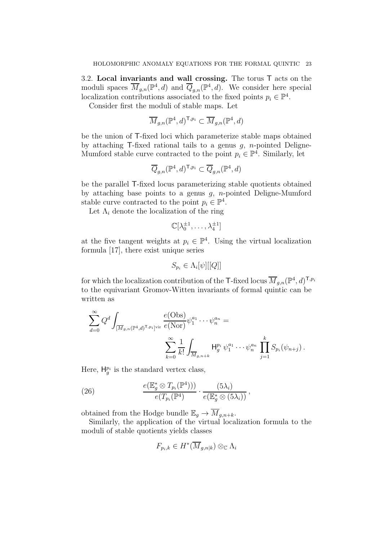3.2. Local invariants and wall crossing. The torus T acts on the moduli spaces  $\overline{M}_{g,n}(\mathbb{P}^4, d)$  and  $\overline{Q}_{g,n}(\mathbb{P}^4, d)$ . We consider here special localization contributions associated to the fixed points  $p_i \in \mathbb{P}^4$ .

Consider first the moduli of stable maps. Let

$$
\overline{M}_{g,n}({\mathbb P}^4,d)^{{\sf T},p_i}\subset \overline{M}_{g,n}({\mathbb P}^4,d)
$$

be the union of T-fixed loci which parameterize stable maps obtained by attaching  $\mathsf{T}\text{-fixed rational tails to a genus } q, n\text{-pointed Deligne-}$ Mumford stable curve contracted to the point  $p_i \in \mathbb{P}^4$ . Similarly, let

$$
\overline{Q}_{g,n}({\mathbb P}^4,d)^{{\sf T},p_i}\subset \overline{Q}_{g,n}({\mathbb P}^4,d)
$$

be the parallel T-fixed locus parameterizing stable quotients obtained by attaching base points to a genus  $q$ , *n*-pointed Deligne-Mumford stable curve contracted to the point  $p_i \in \mathbb{P}^4$ .

Let  $\Lambda_i$  denote the localization of the ring

$$
\mathbb{C}[\lambda_0^{\pm 1},\ldots,\lambda_4^{\pm 1}]
$$

at the five tangent weights at  $p_i \in \mathbb{P}^4$ . Using the virtual localization formula [17], there exist unique series

$$
S_{p_i} \in \Lambda_i[\psi][[Q]]
$$

for which the localization contribution of the T-fixed locus  $\overline{M}_{g,n}({\mathbb P}^4,d)^{\mathsf{T},p_i}$ to the equivariant Gromov-Witten invariants of formal quintic can be written as

$$
\sum_{d=0}^{\infty} Q^d \int_{[\overline{M}_{g,n}(\mathbb{P}^4,d)^{\text{T},p_i}]^{\text{vir}}} \frac{e(\text{Obs})}{e(\text{Nor})} \psi_1^{a_1} \cdots \psi_n^{a_n} =
$$

$$
\sum_{k=0}^{\infty} \frac{1}{k!} \int_{\overline{M}_{g,n+k}} H_g^{p_i} \psi_1^{a_1} \cdots \psi_n^{a_n} \prod_{j=1}^k S_{p_i}(\psi_{n+j}).
$$

Here,  $H_g^{p_i}$  is the standard vertex class,

(26) 
$$
\frac{e(\mathbb{E}_g^* \otimes T_{p_i}(\mathbb{P}^4)))}{e(T_{p_i}(\mathbb{P}^4))} \cdot \frac{(5\lambda_i)}{e(\mathbb{E}_g^* \otimes (5\lambda_i))},
$$

obtained from the Hodge bundle  $\mathbb{E}_q \to \overline{M}_{q,n+k}$ .

Similarly, the application of the virtual localization formula to the moduli of stable quotients yields classes

$$
F_{p_i,k} \in H^*(\overline{M}_{g,n|k}) \otimes_{\mathbb{C}} \Lambda_i
$$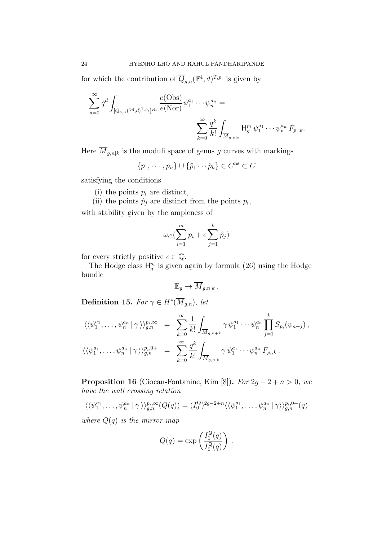for which the contribution of  $\overline{Q}_{g,n}(\mathbb{P}^4, d)^{T,p_i}$  is given by

$$
\sum_{d=0}^{\infty} q^d \int_{[\overline{Q}_{g,n}(\mathbb{P}^4,d)^{T,p_i}]^{\text{vir}}} \frac{e(\text{Obs})}{e(\text{Nor})} \psi_1^{a_1} \cdots \psi_n^{a_n} = \\ \sum_{k=0}^{\infty} \frac{q^k}{k!} \int_{\overline{M}_{g,n|k}} H_g^{p_i} \psi_1^{a_1} \cdots \psi_n^{a_n} F_{p_i,k}.
$$

Here  $\overline{M}_{g,n|k}$  is the moduli space of genus g curves with markings

 $\{p_1, \cdots, p_n\} \cup \{\hat{p}_1 \cdots \hat{p}_k\} \in C^{\text{ns}} \subset C$ 

satisfying the conditions

- (i) the points  $p_i$  are distinct,
- (ii) the points  $\hat{p}_j$  are distinct from the points  $p_i$ ,

with stability given by the ampleness of

$$
\omega_C(\sum_{i=1}^m p_i + \epsilon \sum_{j=1}^k \hat{p}_j)
$$

for every strictly positive  $\epsilon \in \mathbb{Q}$ .

The Hodge class  $H_g^{p_i}$  is given again by formula (26) using the Hodge bundle

$$
\mathbb{E}_g \to \overline{M}_{g,n|k}.
$$

**Definition 15.** For  $\gamma \in H^*(\overline{M}_{g,n})$ , let

$$
\langle \langle \psi_1^{a_1}, \dots, \psi_n^{a_n} | \gamma \rangle \rangle_{g,n}^{p_i, \infty} = \sum_{k=0}^{\infty} \frac{1}{k!} \int_{\overline{M}_{g,n+k}} \gamma \psi_1^{a_1} \cdots \psi_n^{a_n} \prod_{j=1}^k S_{p_i}(\psi_{n+j}),
$$
  

$$
\langle \langle \psi_1^{a_1}, \dots, \psi_n^{a_n} | \gamma \rangle \rangle_{g,n}^{p_i,0+} = \sum_{k=0}^{\infty} \frac{q^k}{k!} \int_{\overline{M}_{g,n|k}} \gamma \psi_1^{a_1} \cdots \psi_n^{a_n} F_{p_i,k}.
$$

**Proposition 16** (Ciocan-Fontanine, Kim [8]). For  $2g - 2 + n > 0$ , we have the wall crossing relation

$$
\langle \langle \psi_1^{a_1}, \dots, \psi_n^{a_n} | \gamma \rangle \rangle_{g,n}^{p_i, \infty}(Q(q)) = (I_0^{\mathbf{Q}})^{2g-2+n} \langle \langle \psi_1^{a_1}, \dots, \psi_n^{a_n} | \gamma \rangle \rangle_{g,n}^{p_i, 0+}(q)
$$

where  $Q(q)$  is the mirror map

$$
Q(q) = \exp\left(\frac{I_1^{\mathsf{Q}}(q)}{I_0^{\mathsf{Q}}(q)}\right).
$$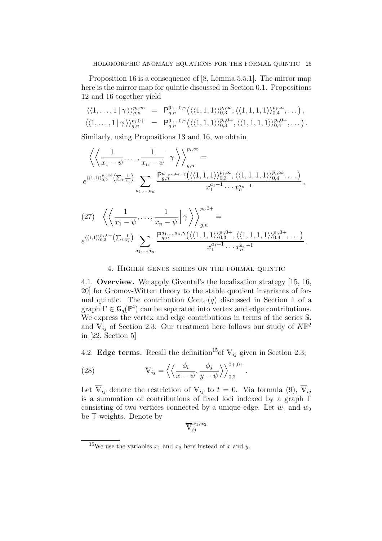Proposition 16 is a consequence of [8, Lemma 5.5.1]. The mirror map here is the mirror map for quintic discussed in Section 0.1. Propositions 12 and 16 together yield

$$
\langle\langle 1,\ldots,1|\,\gamma\rangle\rangle_{g,n}^{p_i,\infty} = \mathsf{P}_{g,n}^{0,\ldots,0,\gamma}(\langle\langle 1,1,1\rangle\rangle_{0,3}^{p_i,\infty},\langle\langle 1,1,1,1\rangle\rangle_{0,4}^{p_i,\infty},\ldots),
$$
  

$$
\langle\langle 1,\ldots,1|\,\gamma\rangle\rangle_{g,n}^{p_i,0+} = \mathsf{P}_{g,n}^{0,\ldots,0,\gamma}(\langle\langle 1,1,1\rangle\rangle_{0,3}^{p_i,0+},\langle\langle 1,1,1,1\rangle\rangle_{0,4}^{p_i,0+},\ldots).
$$

Similarly, using Propositions 13 and 16, we obtain

$$
\left\langle \left\langle \frac{1}{x_1 - \psi}, \dots, \frac{1}{x_n - \psi} \middle| \gamma \right\rangle \right\rangle_{g,n}^{p_i, \infty} =
$$
\n
$$
e^{\langle \langle 1,1 \rangle \rangle_{0,2}^{p_i, \infty}} \left( \sum_i \frac{1}{x_i} \right) \sum_{a_1, \dots, a_n} \frac{P_{g,n}^{a_1, \dots, a_n, \gamma} \left( \langle \langle 1,1,1 \rangle \rangle_{0,3}^{p_i, \infty}, \langle \langle 1,1,1,1 \rangle \rangle_{0,4}^{p_i, \infty}, \dots \right)}{x_1^{a_1 + 1} \cdots x_n^{a_n + 1}},
$$

$$
(27) \ \ \left\langle \left\langle \frac{1}{x_1 - \psi}, \dots, \frac{1}{x_n - \psi} \middle| \gamma \right\rangle \right\rangle_{g,n}^{p_i,0+} =
$$
  

$$
e^{\langle \langle 1,1 \rangle \rangle_{0,2}^{p_i,0+} \left( \sum_i \frac{1}{x_i} \right)} \sum_{a_1, \dots, a_n} \frac{P_{g,n}^{a_1, \dots, a_n, \gamma} \left( \langle \langle 1,1,1 \rangle \rangle_{0,3}^{p_i,0+}, \langle \langle 1,1,1,1 \rangle \rangle_{0,4}^{p_i,0+}, \dots \right)}{x_1^{a_1+1} \cdots x_n^{a_n+1}}.
$$

#### 4. Higher genus series on the formal quintic

4.1. Overview. We apply Givental's the localization strategy [15, 16, 20] for Gromov-Witten theory to the stable quotient invariants of formal quintic. The contribution  $Cont_\Gamma(q)$  discussed in Section 1 of a graph  $\Gamma \in \mathsf{G}_g(\mathbb{P}^4)$  can be separated into vertex and edge contributions. We express the vertex and edge contributions in terms of the series  $\mathbb{S}_i$ and  $V_{ij}$  of Section 2.3. Our treatment here follows our study of  $K\mathbb{P}^2$ in [22, Section 5]

4.2. Edge terms. Recall the definition<sup>15</sup> of  $V_{ij}$  given in Section 2.3,

.

(28) 
$$
\mathbb{V}_{ij} = \left\langle \left\langle \frac{\phi_i}{x - \psi}, \frac{\phi_j}{y - \psi} \right\rangle \right\rangle_{0,2}^{0+,0+}
$$

Let  $\overline{V}_{ij}$  denote the restriction of  $V_{ij}$  to  $t = 0$ . Via formula (9),  $\overline{V}_{ij}$ is a summation of contributions of fixed loci indexed by a graph Γ consisting of two vertices connected by a unique edge. Let  $w_1$  and  $w_2$ be T-weights. Denote by

$$
\overline{\mathbb{V}}^{w_1,w_2}_{ij}
$$

<sup>&</sup>lt;sup>15</sup>We use the variables  $x_1$  and  $x_2$  here instead of x and y.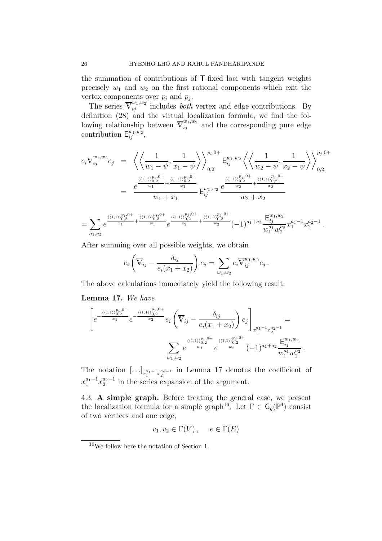the summation of contributions of T-fixed loci with tangent weights precisely  $w_1$  and  $w_2$  on the first rational components which exit the vertex components over  $p_i$  and  $p_j$ .

The series  $\overline{V}_{ij}^{w_1,w_2}$  includes *both* vertex and edge contributions. By definition (28) and the virtual localization formula, we find the following relationship between  $\overline{V}_{ij}^{w_1,w_2}$  and the corresponding pure edge contribution  $\mathsf{E}_{ij}^{w_1,w_2}$ ,

$$
e_i \overline{V}_{ij}^{w_1, w_2} e_j = \left\langle \left\langle \frac{1}{w_1 - \psi}, \frac{1}{x_1 - \psi} \right\rangle \right\rangle_{0,2}^{p_i, 0+} E_{ij}^{w_1, w_2} \left\langle \left\langle \frac{1}{w_2 - \psi}, \frac{1}{x_2 - \psi} \right\rangle \right\rangle_{0,2}^{p_j, 0+}
$$
  

$$
= \frac{e^{\frac{\langle (1,1)\rangle_{0,2}^{p_i, 0+}}{w_1} + \frac{\langle (1,1)\rangle_{0,2}^{p_i, 0+}}{x_1}}{w_1 + x_1} E_{ij}^{w_1, w_2} \frac{e^{\frac{\langle (1,1)\rangle_{0,2}^{p_j, 0+}}{w_2} + \frac{\langle (1,1)\rangle_{0,2}^{p_j, 0+}}{x_2}}{w_2 + x_2}
$$

$$
=\sum_{a_1,a_2}e^{\frac{\langle (1,1)\rangle_{0,2}^{p_i,0+}}{x_1}+\frac{\langle (1,1)\rangle_{0,2}^{p_i,0+}}{w_1}}e^{\frac{\langle (1,1)\rangle_{0,2}^{p_j,0+}}{x_2}+\frac{\langle (1,1)\rangle_{0,2}^{p_j,0+}}{w_2}}(-1)^{a_1+a_2}\frac{\mathsf{E}^{w_1,w_2}_{ij}}{w_1^{a_1}w_2^{a_2}}x_1^{a_1-1}x_2^{a_2-1}\,.
$$

After summing over all possible weights, we obtain

$$
e_i\left(\overline{\mathbb{V}}_{ij}-\frac{\delta_{ij}}{e_i(x_1+x_2)}\right)e_j=\sum_{w_1,w_2}e_i\overline{\mathbb{V}}_{ij}^{w_1,w_2}e_j.
$$

The above calculations immediately yield the following result.

# Lemma 17. We have

$$
\left[e^{-\frac{\langle\langle 1,1\rangle\rangle_{0,2}^{p_i,0+}}{x_1}}e^{-\frac{\langle\langle 1,1\rangle\rangle_{0,2}^{p_j,0+}}{x_2}}e_i\left(\overline{V}_{ij}-\frac{\delta_{ij}}{e_i(x_1+x_2)}\right)e_j\right]_{x_1^{a_1-1}x_2^{a_2-1}} = \sum_{w_1,w_2} e^{\frac{\langle\langle 1,1\rangle\rangle_{0,2}^{p_i,0+}}{w_1}}e^{\frac{\langle\langle 1,1\rangle\rangle_{0,2}^{p_j,0+}}{w_2}}(-1)^{a_1+a_2}\frac{E_{ij}^{w_1,w_2}}{w_1^{a_1}w_2^{a_2}}.
$$

The notation  $[\ldots]_{x_1^{a_1-1}x_2^{a_2-1}}$  in Lemma 17 denotes the coefficient of  $x_1^{a_1-1}x_2^{a_2-1}$  in the series expansion of the argument.

4.3. A simple graph. Before treating the general case, we present the localization formula for a simple graph<sup>16</sup>. Let  $\Gamma \in \mathsf{G}_g(\mathbb{P}^4)$  consist of two vertices and one edge,

$$
v_1, v_2 \in \Gamma(V), \quad e \in \Gamma(E)
$$

<sup>16</sup>We follow here the notation of Section 1.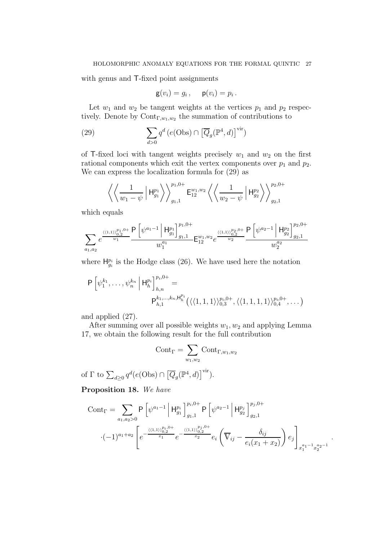with genus and T-fixed point assignments

$$
\mathsf{g}(v_i) = g_i\,, \quad \mathsf{p}(v_i) = p_i\,.
$$

Let  $w_1$  and  $w_2$  be tangent weights at the vertices  $p_1$  and  $p_2$  respectively. Denote by  $\text{Cont}_{\Gamma,w_1,w_2}$  the summation of contributions to

(29) 
$$
\sum_{d>0} q^d \left( e(\text{Obs}) \cap \left[ \overline{Q}_g(\mathbb{P}^4, d) \right]^{\text{vir}} \right)
$$

of T-fixed loci with tangent weights precisely  $w_1$  and  $w_2$  on the first rational components which exit the vertex components over  $p_1$  and  $p_2$ . We can express the localization formula for (29) as

$$
\left\langle \left\langle \frac{1}{w_1 - \psi} \middle| H_{g_1}^{p_1} \right\rangle \right\rangle_{g_1,1}^{p_1,0+} E_{12}^{w_1,w_2} \left\langle \left\langle \frac{1}{w_2 - \psi} \middle| H_{g_2}^{p_2} \right\rangle \right\rangle_{g_2,1}^{p_2,0+}
$$

which equals

$$
\sum_{a_1, a_2} e^{\frac{\langle \langle 1, 1 \rangle \rangle ^{p_1, 0+}_{0, 2}}{w_1}} \frac{\mathsf{P}\left[ \psi^{a_1-1} \left| \mathsf{H}^{p_1}_{g_1} \right]^{p_1, 0+}_{g_1, 1}}{w_1^{a_1}} \mathsf{E}^{w_1, w_2}_{12} e^{\frac{\langle \langle 1, 1 \rangle \rangle ^{p_2, 0+}_{0, 2}}{w_2}} \frac{\mathsf{P}\left[ \psi^{a_2-1} \left| \mathsf{H}^{p_2}_{g_2} \right]^{p_2, 0+}_{g_2, 1}}{w_2^{a_2}} \right]}{\mathsf{W}^{a_2}_{2}}
$$

where  $H_{g_i}^{p_i}$  is the Hodge class (26). We have used here the notation

$$
P\left[\psi_1^{k_1},\ldots,\psi_n^{k_n}\middle|\mathsf{H}_{h}^{p_i}\right]_{h,n}^{p_i,0+}=\n P_{h,1}^{k_1,\ldots,k_n,\mathsf{H}_{h}^{p_i}}\left(\langle\langle 1,1,1\rangle\rangle_{0,3}^{p_i,0+},\langle\langle 1,1,1,1\rangle\rangle_{0,4}^{p_i,0+},\ldots\right)
$$

and applied (27).

After summing over all possible weights  $w_1, w_2$  and applying Lemma 17, we obtain the following result for the full contribution

$$
\mathrm{Cont}_\Gamma = \sum_{w_1,w_2} \mathrm{Cont}_{\Gamma,w_1,w_2}
$$

of  $\Gamma$  to  $\sum_{d\geq 0} q^d (e(\text{Obs}) \cap \left[\overline{Q}_g(\mathbb{P}^4, d)\right]^{\text{vir}}).$ 

Proposition 18. We have

$$
\text{Cont}_{\Gamma} = \sum_{a_1, a_2 > 0} \mathsf{P} \left[ \psi^{a_1 - 1} \middle| \mathsf{H}_{g_1}^{p_i} \right]_{g_1, 1}^{p_i, 0+} \mathsf{P} \left[ \psi^{a_2 - 1} \middle| \mathsf{H}_{g_2}^{p_j} \right]_{g_2, 1}^{p_j, 0+}
$$

$$
\cdot (-1)^{a_1 + a_2} \left[ e^{-\frac{\langle \langle 1, 1 \rangle \rangle_{0, 2}^{p_i, 0+}}{x_1} e^{-\frac{\langle \langle 1, 1 \rangle \rangle_{0, 2}^{p_j, 0+}}{x_2} e_i \left( \overline{\mathbb{V}}_{ij} - \frac{\delta_{ij}}{e_i (x_1 + x_2)} \right) e_j \right]_{x_1^{a_1 - 1} x_2^{a_2 - 1}}
$$

.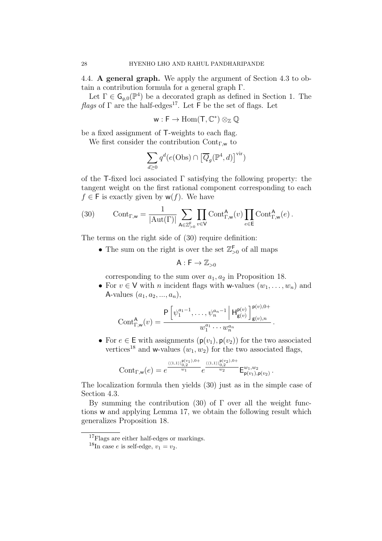4.4. A general graph. We apply the argument of Section 4.3 to obtain a contribution formula for a general graph Γ.

Let  $\Gamma \in \mathsf{G}_{g,0}(\mathbb{P}^4)$  be a decorated graph as defined in Section 1. The flags of  $\Gamma$  are the half-edges<sup>17</sup>. Let  $\overline{\Gamma}$  be the set of flags. Let

$$
w:F\to\operatorname{Hom}(T,\mathbb{C}^*)\otimes_{\mathbb{Z}}\mathbb{Q}
$$

be a fixed assignment of T-weights to each flag.

We first consider the contribution  $Cont_{\Gamma,\mathbf{w}}$  to

$$
\sum_{d\geq 0} q^d (e(\text{Obs}) \cap \left[\overline{Q}_g(\mathbb{P}^4, d)\right]^{\text{vir}})
$$

of the T-fixed loci associated  $\Gamma$  satisfying the following property: the tangent weight on the first rational component corresponding to each  $f \in F$  is exactly given by  $w(f)$ . We have

(30) 
$$
\text{Cont}_{\Gamma,\mathsf{w}} = \frac{1}{|\text{Aut}(\Gamma)|} \sum_{\mathsf{A}\in\mathbb{Z}_{>0}^{\mathsf{F}}} \prod_{v\in\mathsf{V}} \text{Cont}_{\Gamma,\mathsf{w}}^{\mathsf{A}}(v) \prod_{e\in\mathsf{E}} \text{Cont}_{\Gamma,\mathsf{w}}^{\mathsf{A}}(e) .
$$

The terms on the right side of (30) require definition:

• The sum on the right is over the set  $\mathbb{Z}_{>0}^{\mathsf{F}}$  of all maps

$$
A:F\to\mathbb{Z}_{>0}
$$

corresponding to the sum over  $a_1, a_2$  in Proposition 18.

• For  $v \in V$  with *n* incident flags with w-values  $(w_1, \ldots, w_n)$  and A-values  $(a_1, a_2, ..., a_n)$ ,

$$
Cont_{\Gamma,w}^{\mathsf{A}}(v) = \frac{\mathsf{P}\left[\psi_1^{a_1-1}, \dots, \psi_n^{a_n-1} \middle| \mathsf{H}_{\mathsf{g}(v)}^{\mathsf{p}(v)}\right]_{\mathsf{g}(v),n}^{\mathsf{p}(v),0+}}{w_1^{a_1} \cdots w_n^{a_n}}.
$$

• For  $e \in \mathsf{E}$  with assignments  $(\mathsf{p}(v_1), \mathsf{p}(v_2))$  for the two associated vertices<sup>18</sup> and w-values  $(w_1, w_2)$  for the two associated flags,

$$
\mathrm{Cont}_{\Gamma, \mathsf{w}}(e) = e^{\frac{\langle \langle 1, 1 \rangle \rangle_{0, 2}^{\mathsf{p}(v_1), 0+}}{w_1}} e^{\frac{\langle \langle 1, 1 \rangle \rangle_{0, 2}^{\mathsf{p}(v_2), 0+}}{w_2}} \mathsf{E}_{\mathsf{p}(v_1), \mathsf{p}(v_2)}^{w_1, w_2}.
$$

The localization formula then yields (30) just as in the simple case of Section 4.3.

By summing the contribution (30) of  $\Gamma$  over all the weight functions w and applying Lemma 17, we obtain the following result which generalizes Proposition 18.

<sup>&</sup>lt;sup>17</sup>Flags are either half-edges or markings.

<sup>&</sup>lt;sup>18</sup>In case *e* is self-edge,  $v_1 = v_2$ .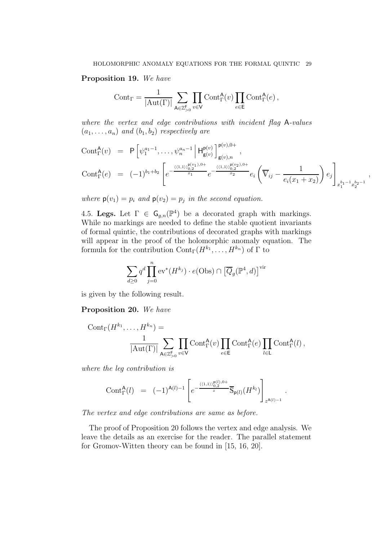### Proposition 19. We have

$$
\text{Cont}_{\Gamma} = \frac{1}{|\text{Aut}(\Gamma)|} \sum_{\mathsf{A} \in \mathbb{Z}_{>0}^{\mathsf{F}}} \prod_{v \in \mathsf{V}} \text{Cont}_{\Gamma}^{\mathsf{A}}(v) \prod_{e \in \mathsf{E}} \text{Cont}_{\Gamma}^{\mathsf{A}}(e) ,
$$

where the vertex and edge contributions with incident flag A-values  $(a_1, \ldots, a_n)$  and  $(b_1, b_2)$  respectively are

$$
\text{Cont}_{\Gamma}^{\mathsf{A}}(v) = \mathsf{P}\left[\psi_1^{a_1-1}, \dots, \psi_n^{a_n-1} \middle| \mathsf{H}_{\mathsf{g}(v)}^{\mathsf{p}(v)}\right]_{\mathsf{g}(v),n}^{\mathsf{p}(v),0+},
$$
\n
$$
\text{Cont}_{\Gamma}^{\mathsf{A}}(e) = (-1)^{b_1+b_2} \left[ e^{-\frac{\langle \langle 1,1 \rangle \rangle_{0,2}^{\mathsf{p}(v_1),0+}}{x_1}} e^{-\frac{\langle \langle 1,1 \rangle \rangle_{0,2}^{\mathsf{p}(v_2),0+}}{x_2}} e_i \left( \overline{\mathbb{V}}_{ij} - \frac{1}{e_i(x_1+x_2)} \right) e_j \right]_{x_1^{b_1-1} x_2^{b_2-1}},
$$

where  $p(v_1) = p_i$  and  $p(v_2) = p_j$  in the second equation.

4.5. Legs. Let  $\Gamma \in \mathsf{G}_{g,n}(\mathbb{P}^4)$  be a decorated graph with markings. While no markings are needed to define the stable quotient invariants of formal quintic, the contributions of decorated graphs with markings will appear in the proof of the holomorphic anomaly equation. The formula for the contribution  $\text{Cont}_{\Gamma}(H^{k_1},\ldots,H^{k_n})$  of  $\Gamma$  to

$$
\sum_{d\geq 0} q^d \prod_{j=0}^n \mathrm{ev}^*(H^{k_j}) \cdot e(\mathrm{Obs}) \cap \left[\overline{Q}_g(\mathbb{P}^4, d)\right]^{\mathrm{vir}}
$$

is given by the following result.

## Proposition 20. We have

$$
Cont_{\Gamma}(H^{k_1}, \ldots, H^{k_n}) = \frac{1}{|\mathrm{Aut}(\Gamma)|} \sum_{\mathbf{A} \in \mathbb{Z}_{>0}^{\mathsf{F}}} \prod_{v \in \mathsf{V}} Cont_{\Gamma}^{\mathbf{A}}(v) \prod_{e \in \mathsf{E}} Cont_{\Gamma}^{\mathbf{A}}(e) \prod_{l \in \mathsf{L}} Cont_{\Gamma}^{\mathbf{A}}(l),
$$

where the leg contribution is

$$
\text{Cont}^{\mathsf{A}}_{\Gamma}(l) = (-1)^{\mathsf{A}(l)-1} \left[ e^{-\frac{\langle \langle 1,1\rangle \rangle^{\mathsf{B}(l),0+}_{0,2}}{z}} \overline{\mathbb{S}}_{\mathsf{p}(l)}(H^{k_l}) \right]_{z^{\mathsf{A}(l)-1}}.
$$

The vertex and edge contributions are same as before.

The proof of Proposition 20 follows the vertex and edge analysis. We leave the details as an exercise for the reader. The parallel statement for Gromov-Witten theory can be found in [15, 16, 20].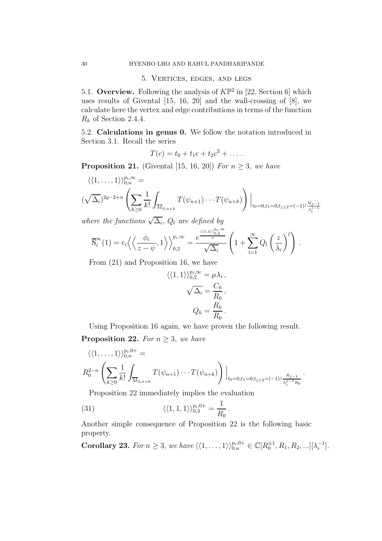#### 5. Vertices, edges, and legs

5.1. Overview. Following the analysis of  $K\mathbb{P}^2$  in [22, Section 6] which uses results of Givental  $[15, 16, 20]$  and the wall-crossing of  $[8]$ , we calculate here the vertex and edge contributions in terms of the function  $R_k$  of Section 2.4.4.

5.2. Calculations in genus 0. We follow the notation introduced in Section 3.1. Recall the series

$$
T(c) = t_0 + t_1 c + t_2 c^2 + \dots
$$

**Proposition 21.** (Givental [15, 16, 20]) For  $n \geq 3$ , we have

$$
\langle \langle 1, \ldots, 1 \rangle \rangle_{0,n}^{p_i, \infty} =
$$
  

$$
(\sqrt{\Delta_i})^{2g-2+n} \left( \sum_{k \ge 0} \frac{1}{k!} \int_{\overline{M}_{0,n+k}} T(\psi_{n+1}) \cdots T(\psi_{n+k}) \right) \Big|_{t_0=0, t_1=0, t_j \ge 2} = (-1)^j \frac{Q_{j-1}}{\lambda_j^{j-1}}
$$

where the functions  $\sqrt{\Delta_i}$ ,  $Q_l$  are defined by

$$
\overline{\mathbb{S}}_i^{\infty}(1) = e_i \left\langle \left\langle \frac{\phi_i}{z - \psi}, 1 \right\rangle \right\rangle_{0,2}^{p_i, \infty} = \frac{e^{\frac{\left\langle (1,1)\right\rangle_{0,2}^{p_i, \infty}}{z}}}{\sqrt{\Delta_i}} \left(1 + \sum_{l=1}^{\infty} Q_l \left(\frac{z}{\lambda_i}\right)^l\right).
$$

From (21) and Proposition 16, we have

$$
\langle \langle 1, 1 \rangle \rangle_{0,2}^{p_i, \infty} = \mu \lambda_i ,
$$

$$
\sqrt{\Delta_i} = \frac{C_0}{R_0},
$$

$$
Q_k = \frac{R_k}{R_0}.
$$

Using Proposition 16 again, we have proven the following result. **Proposition 22.** For  $n \geq 3$ , we have

$$
\langle \langle 1, \ldots, 1 \rangle \rangle_{0,n}^{p_i, 0+} =
$$
  

$$
R_0^{2-n} \left( \sum_{k \ge 0} \frac{1}{k!} \int_{\overline{M}_{0,n+k}} T(\psi_{n+1}) \cdots T(\psi_{n+k}) \right) \Big|_{t_0=0, t_1=0, t_j \ge 2} = (-1)^j \frac{R_j-1}{\lambda_i^{j-1} R_0}.
$$

Proposition 22 immediately implies the evaluation

(31) 
$$
\langle \langle 1, 1, 1 \rangle \rangle_{0,3}^{p_i, 0+} = \frac{1}{R_0}.
$$

Another simple consequence of Proposition 22 is the following basic property.

**Corollary 23.** For  $n \ge 3$ , we have  $\langle (1, ..., 1) \rangle_{0,n}^{p_i,0+} \in \mathbb{C}[R_0^{\pm 1}, R_1, R_2, ...][\lambda_i^{-1}]$  $\begin{bmatrix} -1 \\ i \end{bmatrix}$ .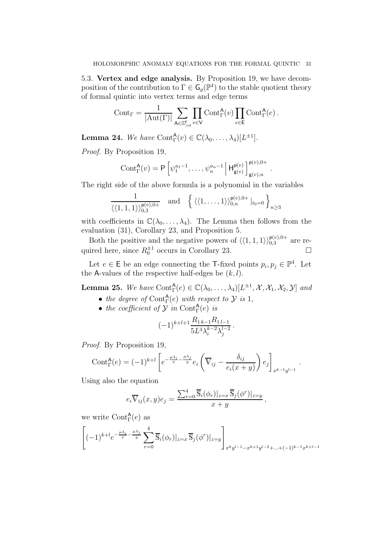5.3. Vertex and edge analysis. By Proposition 19, we have decomposition of the contribution to  $\Gamma \in \mathsf{G}_g(\mathbb{P}^4)$  to the stable quotient theory of formal quintic into vertex terms and edge terms

$$
\mathrm{Cont}_\Gamma=\frac{1}{|\mathrm{Aut}(\Gamma)|}\sum_{\mathsf{A}\in\mathbb{Z}_{>0}^\mathsf{F}}\prod_{v\in\mathsf{V}}\mathrm{Cont}^\mathsf{A}_\Gamma(v)\prod_{e\in\mathsf{E}}\mathrm{Cont}^\mathsf{A}_\Gamma(e)\,.
$$

**Lemma 24.** We have Cont ${}_{\Gamma}^{A}(v) \in \mathbb{C}(\lambda_0, \ldots, \lambda_4)[L^{\pm 1}].$ 

Proof. By Proposition 19,

$$
\text{Cont}^{\mathsf{A}}_{\Gamma}(v) = \mathsf{P}\left[\psi_1^{a_1-1}, \ldots, \psi_n^{a_n-1} \, \middle| \, \mathsf{H}^{\mathsf{p}(v)}_{\mathsf{g}(v)}\right]^{\mathsf{p}(v), 0+}_{\mathsf{g}(v), n}
$$

.

The right side of the above formula is a polynomial in the variables

$$
\frac{1}{\langle\langle 1,1,1\rangle\rangle_{0,3}^{\mathsf{p}(v),0+}} \quad \text{and} \quad \left\{ \langle\langle 1,\ldots,1\rangle\rangle_{0,n}^{\mathsf{p}(v),0+} |_{t_0=0} \right\}_{n\geq 3}
$$

with coefficients in  $\mathbb{C}(\lambda_0,\ldots,\lambda_4)$ . The Lemma then follows from the evaluation (31), Corollary 23, and Proposition 5.

Both the positive and the negative powers of  $\langle \langle 1, 1, 1 \rangle \rangle_{0,3}^{p(v),0+}$  are required here, since  $R_0^{\pm 1}$  occurs in Corollary 23.

Let  $e \in \mathsf{E}$  be an edge connecting the T-fixed points  $p_i, p_j \in \mathbb{P}^4$ . Let the A-values of the respective half-edges be  $(k, l)$ .

**Lemma 25.** We have  $Cont^{\mathsf{A}}_{\Gamma}(e) \in \mathbb{C}(\lambda_0, \ldots, \lambda_4)[L^{\pm 1}, \mathcal{X}, \mathcal{X}_1, \mathcal{X}_2, \mathcal{Y}]$  and

- the degree of Cont $f(e)$  with respect to  $\mathcal Y$  is 1,
- the coefficient of  $\mathcal Y$  in Cont $_{\Gamma}^{\mathsf{A}}(e)$  is

$$
(-1)^{k+l+1} \frac{R_{1k-1}R_{1l-1}}{5L^3 \lambda_i^{k-2} \lambda_j^{l-2}}.
$$

Proof. By Proposition 19,

$$
\text{Cont}_{\Gamma}^{\mathsf{A}}(e) = (-1)^{k+l} \left[ e^{-\frac{\mu \lambda_i}{x} - \frac{\mu \lambda_j}{y}} e_i \left( \overline{\nabla}_{ij} - \frac{\delta_{ij}}{e_i (x+y)} \right) e_j \right]_{x^{k-1} y^{l-1}}.
$$

Using also the equation

$$
e_i \overline{\mathbb{V}}_{ij}(x, y) e_j = \frac{\sum_{r=0}^4 \overline{\mathbb{S}}_i(\phi_r)|_{z=x} \overline{\mathbb{S}}_j(\phi^r)|_{z=y}}{x+y},
$$

we write  $\text{Cont}_{\Gamma}^{\mathsf{A}}(e)$  as

$$
\left[(-1)^{k+l}e^{-\frac{\mu\lambda_i}{x}-\frac{\mu\lambda_j}{y}}\sum_{r=0}^4\overline{\mathbb{S}}_i(\phi_r)|_{z=x}\,\overline{\mathbb{S}}_j(\phi^r)|_{z=y}\right]_{x^ky^{l-1}-x^{k+1}y^{l-2}+\ldots+(-1)^{k-1}x^{k+l-1}}
$$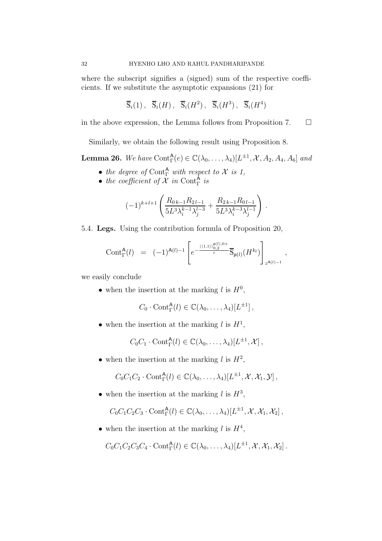where the subscript signifies a (signed) sum of the respective coefficients. If we substitute the asymptotic expansions (21) for

$$
\overline{\mathbb{S}}_i(1)
$$
,  $\overline{\mathbb{S}}_i(H)$ ,  $\overline{\mathbb{S}}_i(H^2)$ ,  $\overline{\mathbb{S}}_i(H^3)$ ,  $\overline{\mathbb{S}}_i(H^4)$ 

in the above expression, the Lemma follows from Proposition 7.  $\Box$ 

Similarly, we obtain the following result using Proposition 8.

**Lemma 26.** We have Cont $_{\Gamma}^{A}(e) \in \mathbb{C}(\lambda_0, \ldots, \lambda_4)[L^{\pm 1}, \mathcal{X}, A_2, A_4, A_6]$  and

- the degree of Cont $^{\mathsf{A}}_{\Gamma}$  with respect to X is 1,
- the coefficient of  $\mathcal X$  in Cont $_{\Gamma}^{\mathsf{A}}$  is

$$
(-1)^{k+l+1} \left( \frac{R_{0\,k-1}R_{2\,l-1}}{5L^3 \lambda_i^{k-1} \lambda_j^{l-3}} + \frac{R_{2\,k-1}R_{0\,l-1}}{5L^3 \lambda_i^{k-3} \lambda_j^{l-1}} \right) .
$$

5.4. Legs. Using the contribution formula of Proposition 20,

$$
\text{Cont}_{\Gamma}^{\mathsf{A}}(l) = (-1)^{\mathsf{A}(l)-1} \left[ e^{-\frac{\langle \langle 1,1 \rangle \rangle_{0,2}^{\mathsf{p}(l),0+}}{z}} \overline{\mathbb{S}}_{\mathsf{p}(l)}(H^{k_l}) \right]_{z^{\mathsf{A}(l)-1}},
$$

we easily conclude

• when the insertion at the marking  $l$  is  $H^0$ ,

$$
C_0 \cdot \text{Cont}^{\mathsf{A}}_{\Gamma}(l) \in \mathbb{C}(\lambda_0, \ldots, \lambda_4)[L^{\pm 1}],
$$

• when the insertion at the marking  $l$  is  $H^1$ ,

$$
C_0C_1\cdot \text{Cont}^{\mathsf{A}}_{\Gamma}(l)\in \mathbb{C}(\lambda_0,\ldots,\lambda_4)[L^{\pm 1},\mathcal{X}],
$$

• when the insertion at the marking  $l$  is  $H^2$ ,

$$
C_0C_1C_2\cdot \text{Cont}^{\mathsf{A}}_{\Gamma}(l)\in\mathbb{C}(\lambda_0,\ldots,\lambda_4)[L^{\pm 1},\mathcal{X},\mathcal{X}_1,\mathcal{Y}],
$$

• when the insertion at the marking  $l$  is  $H^3$ ,

$$
C_0C_1C_2C_3 \cdot \text{Cont}^{\mathsf{A}}_{\Gamma}(l) \in \mathbb{C}(\lambda_0,\ldots,\lambda_4)[L^{\pm 1},\mathcal{X},\mathcal{X}_1,\mathcal{X}_2],
$$

• when the insertion at the marking  $l$  is  $H^4$ ,

$$
C_0C_1C_2C_3C_4\cdot\text{Cont}^{\mathsf{A}}_{\Gamma}(l)\in\mathbb{C}(\lambda_0,\ldots,\lambda_4)[L^{\pm 1},\mathcal{X},\mathcal{X}_1,\mathcal{X}_2].
$$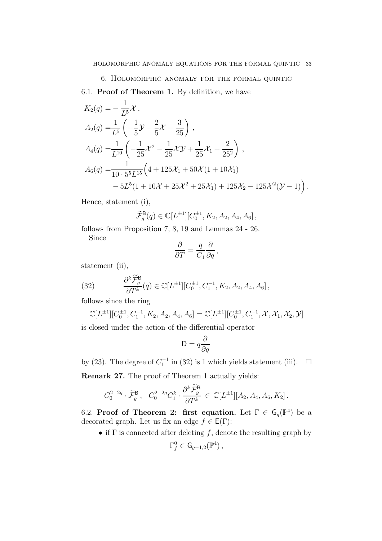# 6. Holomorphic anomaly for the formal quintic

6.1. Proof of Theorem 1. By definition, we have

$$
K_2(q) = -\frac{1}{L^5} \mathcal{X},
$$
  
\n
$$
A_2(q) = \frac{1}{L^5} \left( -\frac{1}{5} \mathcal{Y} - \frac{2}{5} \mathcal{X} - \frac{3}{25} \right),
$$
  
\n
$$
A_4(q) = \frac{1}{L^{10}} \left( -\frac{1}{25} \mathcal{X}^2 - \frac{1}{25} \mathcal{X} \mathcal{Y} + \frac{1}{25} \mathcal{X}_1 + \frac{2}{25^2} \right),
$$
  
\n
$$
A_6(q) = \frac{1}{10 \cdot 5^5 L^{15}} \left( 4 + 125 \mathcal{X}_1 + 50 \mathcal{X} (1 + 10 \mathcal{X}_1) - 5L^5 (1 + 10 \mathcal{X} + 25 \mathcal{X}^2 + 25 \mathcal{X}_1) + 125 \mathcal{X}_2 - 125 \mathcal{X}^2 (\mathcal{Y} - 1) \right).
$$

Hence, statement (i),

$$
\widetilde{\mathcal{F}}_g^{\mathsf{B}}(q) \in \mathbb{C}[L^{\pm 1}][C_0^{\pm 1}, K_2, A_2, A_4, A_6],
$$

follows from Proposition 7, 8, 19 and Lemmas 24 - 26.

Since

$$
\frac{\partial}{\partial T} = \frac{q}{C_1} \frac{\partial}{\partial q},
$$

statement (ii),

(32) 
$$
\frac{\partial^k \widetilde{\mathcal{F}}_g^{\mathsf{B}}}{\partial T^k}(q) \in \mathbb{C}[L^{\pm 1}][C_0^{\pm 1}, C_1^{-1}, K_2, A_2, A_4, A_6],
$$

follows since the ring

$$
\mathbb{C}[L^{\pm 1}][C_0^{\pm 1}, C_1^{-1}, K_2, A_2, A_4, A_6] = \mathbb{C}[L^{\pm 1}][C_0^{\pm 1}, C_1^{-1}, \mathcal{X}, \mathcal{X}_1, \mathcal{X}_2, \mathcal{Y}]
$$

is closed under the action of the differential operator

$$
\mathsf{D}=q\frac{\partial}{\partial q}
$$

by (23). The degree of  $C_1^{-1}$  in (32) is 1 which yields statement (iii).  $\Box$ 

Remark 27. The proof of Theorem 1 actually yields:

$$
C_0^{2-2g} \cdot \widetilde{\mathcal{F}}_g^{\mathsf{B}}, \quad C_0^{2-2g} C_1^k \cdot \frac{\partial^k \widetilde{\mathcal{F}}_g^{\mathsf{B}}}{\partial T^k} \in \mathbb{C}[L^{\pm 1}][A_2, A_4, A_6, K_2].
$$

6.2. Proof of Theorem 2: first equation. Let  $\Gamma \in \mathsf{G}_g(\mathbb{P}^4)$  be a decorated graph. Let us fix an edge  $f \in E(\Gamma)$ :

• if  $\Gamma$  is connected after deleting f, denote the resulting graph by

$$
\Gamma_f^0 \in \mathsf{G}_{g-1,2}(\mathbb{P}^4)\,,
$$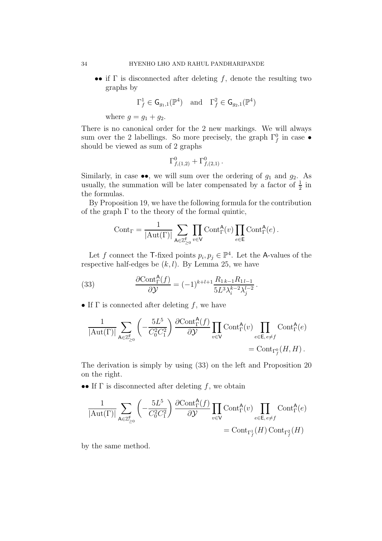•• if  $\Gamma$  is disconnected after deleting f, denote the resulting two graphs by

$$
\Gamma_f^1 \in \mathsf{G}_{g_1,1}(\mathbb{P}^4) \quad \text{and} \quad \Gamma_f^2 \in \mathsf{G}_{g_2,1}(\mathbb{P}^4)
$$

where  $g = g_1 + g_2$ .

There is no canonical order for the 2 new markings. We will always sum over the 2 labellings. So more precisely, the graph  $\Gamma_f^0$  in case  $\bullet$ should be viewed as sum of 2 graphs

$$
\Gamma^0_{f,(1,2)} + \Gamma^0_{f,(2,1)} \, .
$$

Similarly, in case  $\bullet\bullet$ , we will sum over the ordering of  $g_1$  and  $g_2$ . As usually, the summation will be later compensated by a factor of  $\frac{1}{2}$  in the formulas.

By Proposition 19, we have the following formula for the contribution of the graph  $\Gamma$  to the theory of the formal quintic,

$$
Cont_{\Gamma} = \frac{1}{|\mathrm{Aut}(\Gamma)|} \sum_{\mathsf{A} \in \mathbb{Z}_{\geq 0}^{\mathsf{F}}} \prod_{v \in \mathsf{V}} \mathrm{Cont}_{\Gamma}^{\mathsf{A}}(v) \prod_{e \in \mathsf{E}} \mathrm{Cont}_{\Gamma}^{\mathsf{A}}(e) .
$$

Let f connect the T-fixed points  $p_i, p_j \in \mathbb{P}^4$ . Let the A-values of the respective half-edges be  $(k, l)$ . By Lemma 25, we have

(33) 
$$
\frac{\partial \text{Cont}_{\Gamma}^{\mathsf{A}}(f)}{\partial \mathcal{Y}} = (-1)^{k+l+1} \frac{R_{1\,k-1} R_{1\,l-1}}{5L^3 \lambda_i^{k-2} \lambda_j^{l-2}}.
$$

• If  $\Gamma$  is connected after deleting f, we have

$$
\frac{1}{|\mathrm{Aut}(\Gamma)|} \sum_{\mathsf{A}\in\mathbb{Z}_{\geq 0}^{\mathsf{F}}}\left(-\frac{5L^{5}}{C_{0}^{2}C_{1}^{2}}\right) \frac{\partial \mathrm{Cont}_{\Gamma}^{\mathsf{A}}(f)}{\partial \mathcal{Y}} \prod_{v\in\mathsf{V}} \mathrm{Cont}_{\Gamma}^{\mathsf{A}}(v) \prod_{e\in\mathsf{E}, e\neq f} \mathrm{Cont}_{\Gamma_{f}^{0}}^{\mathsf{A}}(e)\\ =\mathrm{Cont}_{\Gamma_{f}^{0}}(H,H)\,.
$$

The derivation is simply by using (33) on the left and Proposition 20 on the right.

•• If  $\Gamma$  is disconnected after deleting  $f$ , we obtain

$$
\frac{1}{|\mathrm{Aut}(\Gamma)|} \sum_{\mathsf{A}\in\mathbb{Z}_{\geq 0}^{\mathsf{F}}} \left(-\frac{5L^5}{C_0^2C_1^2}\right) \frac{\partial \mathrm{Cont}^{\mathsf{A}}_{\Gamma}(f)}{\partial \mathcal{Y}} \prod_{v\in\mathsf{V}} \mathrm{Cont}^{\mathsf{A}}_{\Gamma}(v) \prod_{e\in\mathsf{E}, e\neq f} \mathrm{Cont}^{\mathsf{A}}_{\Gamma}(e)\\ = \mathrm{Cont}_{\Gamma_f^1}(H)\, \mathrm{Cont}_{\Gamma_f^2}(H)
$$

by the same method.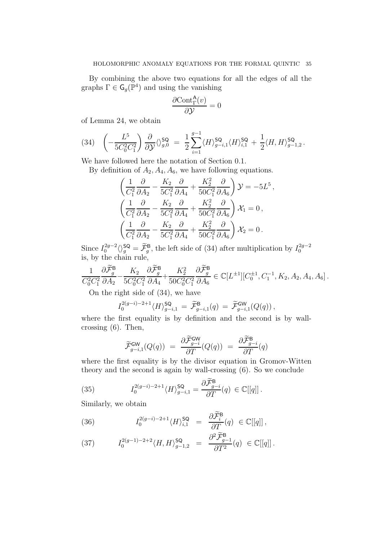By combining the above two equations for all the edges of all the graphs  $\Gamma \in \mathsf{G}_g(\mathbb{P}^4)$  and using the vanishing

$$
\frac{\partial \text{Cont}^{\mathsf{A}}_{\Gamma}(v)}{\partial \mathcal{Y}} = 0
$$

of Lemma 24, we obtain

$$
(34) \quad \left(-\frac{L^5}{5C_0^2C_1^2}\right)\frac{\partial}{\partial y}\langle\rangle_{g,0}^{\mathsf{SQ}} = \frac{1}{2}\sum_{i=1}^{g-1} \langle H \rangle_{g-i,1}^{\mathsf{SQ}} \langle H \rangle_{i,1}^{\mathsf{SQ}} + \frac{1}{2} \langle H, H \rangle_{g-1,2}^{\mathsf{SQ}}.
$$

We have followed here the notation of Section 0.1.

By definition of  $A_2$ ,  $A_4$ ,  $A_6$ , we have following equations.

$$
\left(\frac{1}{C_1^2}\frac{\partial}{\partial A_2} - \frac{K_2}{5C_1^2}\frac{\partial}{\partial A_4} + \frac{K_2^2}{50C_1^2}\frac{\partial}{\partial A_6}\right)\mathcal{Y} = -5L^5,
$$
  

$$
\left(\frac{1}{C_1^2}\frac{\partial}{\partial A_2} - \frac{K_2}{5C_1^2}\frac{\partial}{\partial A_4} + \frac{K_2^2}{50C_1^2}\frac{\partial}{\partial A_6}\right)\mathcal{X}_1 = 0,
$$
  

$$
\left(\frac{1}{C_1^2}\frac{\partial}{\partial A_2} - \frac{K_2}{5C_1^2}\frac{\partial}{\partial A_4} + \frac{K_2^2}{50C_1^2}\frac{\partial}{\partial A_6}\right)\mathcal{X}_2 = 0.
$$

Since  $I_0^{2g-2}$  $\int_{0}^{2g-2} \langle \rangle_{g}^{\mathsf{SQ}} = \widetilde{\mathcal{F}}_{g}^{\mathsf{B}}$ , the left side of (34) after multiplication by  $I_{0}^{2g-2}$ 0 is, by the chain rule,

$$
\frac{1}{C_0^2 C_1^2} \frac{\partial \widetilde{\mathcal{F}}_g^{\mathsf{B}}}{\partial A_2} - \frac{K_2}{5 C_0^2 C_1^2} \frac{\partial \widetilde{\mathcal{F}}_g^{\mathsf{B}}}{\partial A_4} + \frac{K_2^2}{50 C_0^2 C_1^2} \frac{\partial \widetilde{\mathcal{F}}_g^{\mathsf{B}}}{\partial A_6} \in \mathbb{C}[L^{\pm 1}][C_0^{\pm 1}, C_1^{-1}, K_2, A_2, A_4, A_6].
$$

On the right side of (34), we have

$$
I_0^{2(g-i)-2+1} \langle H \rangle^{\mathsf{SQ}}_{g-i,1} = \widetilde{\mathcal{F}}^{\mathsf{B}}_{g-i,1}(q) = \widetilde{\mathcal{F}}^{\mathsf{GW}}_{g-i,1}(Q(q)),
$$

where the first equality is by definition and the second is by wallcrossing (6). Then,

$$
\widetilde{\mathcal{F}}_{g-i,1}^{\mathsf{GW}}(Q(q)) = \frac{\partial \widetilde{\mathcal{F}}_{g-i}^{\mathsf{GW}}}{\partial T}(Q(q)) = \frac{\partial \widetilde{\mathcal{F}}_{g-i}^{\mathsf{B}}}{\partial T}(q)
$$

where the first equality is by the divisor equation in Gromov-Witten theory and the second is again by wall-crossing (6). So we conclude

(35) 
$$
I_0^{2(g-i)-2+1} \langle H \rangle_{g-i,1}^{\mathsf{SQ}} = \frac{\partial \widetilde{\mathcal{F}}_{g-i}^{\mathsf{B}}}{\partial T}(q) \in \mathbb{C}[[q]]\,.
$$

Similarly, we obtain

(36) 
$$
I_0^{2(g-i)-2+1} \langle H \rangle_{i,1}^{\mathsf{SQ}} = \frac{\partial \widetilde{\mathcal{F}}_i^{\mathsf{B}}}{\partial T}(q) \in \mathbb{C}[[q]],
$$

(37) 
$$
I_0^{2(g-1)-2+2} \langle H, H \rangle_{g-1,2}^{\mathsf{SQ}} = \frac{\partial^2 \mathcal{F}_{g-1}^{\mathsf{B}}}{\partial T^2}(q) \in \mathbb{C}[[q]].
$$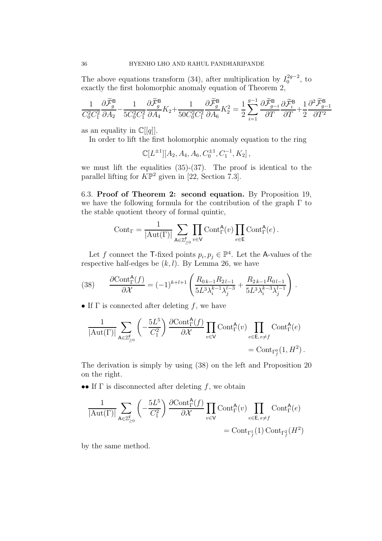The above equations transform (34), after multiplication by  $I_0^{2g-2}$  $_0^{2g-2}$ , to exactly the first holomorphic anomaly equation of Theorem 2,

$$
\frac{1}{C_0^2 C_1^2} \frac{\partial \widetilde{\mathcal{F}}_g^{\mathsf{B}}}{\partial A_2} - \frac{1}{5C_0^2 C_1^2} \frac{\partial \widetilde{\mathcal{F}}_g^{\mathsf{B}}}{\partial A_4} K_2 + \frac{1}{50C_0^2 C_1^2} \frac{\partial \widetilde{\mathcal{F}}_g^{\mathsf{B}}}{\partial A_6} K_2^2 = \frac{1}{2} \sum_{i=1}^{g-1} \frac{\partial \widetilde{\mathcal{F}}_{g-i}^{\mathsf{B}}}{\partial T} \frac{\partial \widetilde{\mathcal{F}}_g^{\mathsf{B}}}{\partial T} + \frac{1}{2} \frac{\partial^2 \widetilde{\mathcal{F}}_{g-1}^{\mathsf{B}}}{\partial T^2}
$$

as an equality in  $\mathbb{C}[[q]]$ .

In order to lift the first holomorphic anomaly equation to the ring

$$
\mathbb{C}[L^{\pm 1}][A_2, A_4, A_6, C_0^{\pm 1}, C_1^{-1}, K_2],
$$

we must lift the equalities  $(35)-(37)$ . The proof is identical to the parallel lifting for  $K\mathbb{P}^2$  given in [22, Section 7.3].

6.3. Proof of Theorem 2: second equation. By Proposition 19, we have the following formula for the contribution of the graph  $\Gamma$  to the stable quotient theory of formal quintic,

$$
Cont_{\Gamma} = \frac{1}{|\mathrm{Aut}(\Gamma)|} \sum_{\mathsf{A} \in \mathbb{Z}_{\geq 0}^{\mathsf{F}}} \prod_{v \in \mathsf{V}} \mathrm{Cont}_{\Gamma}^{\mathsf{A}}(v) \prod_{e \in \mathsf{E}} \mathrm{Cont}_{\Gamma}^{\mathsf{A}}(e) .
$$

Let f connect the T-fixed points  $p_i, p_j \in \mathbb{P}^4$ . Let the A-values of the respective half-edges be  $(k, l)$ . By Lemma 26, we have

(38) 
$$
\frac{\partial \text{Cont}_{\Gamma}^{\mathsf{A}}(f)}{\partial \mathcal{X}} = (-1)^{k+l+1} \left( \frac{R_{0,k-1}R_{2l-1}}{5L^3 \lambda_i^{k-1} \lambda_j^{l-3}} + \frac{R_{2k-1}R_{0l-1}}{5L^3 \lambda_i^{k-3} \lambda_j^{l-1}} \right).
$$

• If  $\Gamma$  is connected after deleting f, we have

$$
\frac{1}{|\mathrm{Aut}(\Gamma)|} \sum_{\mathsf{A}\in\mathbb{Z}_{\geq 0}^{\mathsf{F}}} \left(-\frac{5L^5}{C_1^2}\right) \frac{\partial \mathrm{Cont}^{\mathsf{A}}_{\Gamma}(f)}{\partial \mathcal{X}} \prod_{v\in\mathsf{V}} \mathrm{Cont}^{\mathsf{A}}_{\Gamma}(v) \prod_{e\in\mathsf{E}, e\neq f} \mathrm{Cont}^{\mathsf{A}}_{\Gamma}(e) = \mathrm{Cont}_{\Gamma_f^0}(1, H^2) .
$$

The derivation is simply by using (38) on the left and Proposition 20 on the right.

•• If  $\Gamma$  is disconnected after deleting  $f$ , we obtain

$$
\frac{1}{|\mathrm{Aut}(\Gamma)|} \sum_{\mathbf{A} \in \mathbb{Z}_{\geq 0}^{\mathsf{F}}} \left( -\frac{5L^5}{C_1^2} \right) \frac{\partial \mathrm{Cont}^{\mathbf{A}}_{\Gamma}(f)}{\partial \mathcal{X}} \prod_{v \in \mathsf{V}} \mathrm{Cont}^{\mathbf{A}}_{\Gamma}(v) \prod_{e \in \mathsf{E}, e \neq f} \mathrm{Cont}^{\mathbf{A}}_{\Gamma}(e) = \mathrm{Cont}_{\Gamma_f^2}(1) \, \mathrm{Cont}_{\Gamma_f^2}(H^2)
$$

by the same method.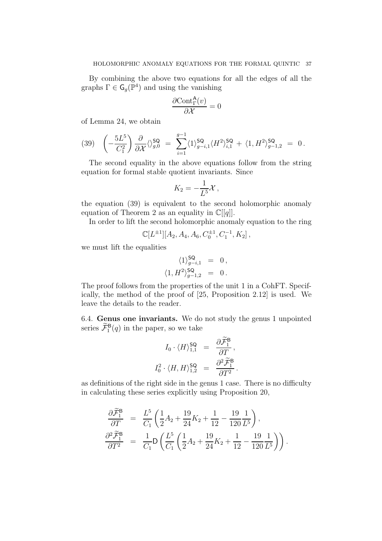By combining the above two equations for all the edges of all the graphs  $\Gamma \in \mathsf{G}_g(\mathbb{P}^4)$  and using the vanishing

$$
\frac{\partial \text{Cont}^{\mathsf{A}}_{\Gamma}(v)}{\partial \mathcal{X}} = 0
$$

of Lemma 24, we obtain

$$
(39) \quad \left(-\frac{5L^5}{C_1^2}\right) \frac{\partial}{\partial x} \langle \rangle_{g,0}^{\mathsf{SQ}} = \sum_{i=1}^{g-1} \langle 1 \rangle_{g-i,1}^{\mathsf{SQ}} \langle H^2 \rangle_{i,1}^{\mathsf{SQ}} + \langle 1, H^2 \rangle_{g-1,2}^{\mathsf{SQ}} = 0.
$$

The second equality in the above equations follow from the string equation for formal stable quotient invariants. Since

$$
K_2 = -\frac{1}{L^5} \mathcal{X},
$$

the equation (39) is equivalent to the second holomorphic anomaly equation of Theorem 2 as an equality in  $\mathbb{C}[[q]]$ .

In order to lift the second holomorphic anomaly equation to the ring

$$
\mathbb{C}[L^{\pm 1}][A_2, A_4, A_6, C_0^{\pm 1}, C_1^{-1}, K_2],
$$

we must lift the equalities

$$
\langle 1 \rangle^{\mathsf{SQ}}_{g-i,1} = 0, \langle 1, H^2 \rangle^{\mathsf{SQ}}_{g-1,2} = 0.
$$

The proof follows from the properties of the unit 1 in a CohFT. Specifically, the method of the proof of [25, Proposition 2.12] is used. We leave the details to the reader.

6.4. Genus one invariants. We do not study the genus 1 unpointed series  $\widetilde{\mathcal{F}}_1^{\mathsf{B}}(q)$  in the paper, so we take

$$
I_0 \cdot \langle H \rangle_{1,1}^{\mathsf{SQ}} = \frac{\partial \widetilde{\mathcal{F}}_1^{\mathsf{B}}}{\partial T},
$$

$$
I_0^2 \cdot \langle H, H \rangle_{1,2}^{\mathsf{SQ}} = \frac{\partial^2 \widetilde{\mathcal{F}}_1^{\mathsf{B}}}{\partial T^2}.
$$

as definitions of the right side in the genus 1 case. There is no difficulty in calculating these series explicitly using Proposition 20,

$$
\frac{\partial \widetilde{\mathcal{F}}_1^{\mathsf{B}}}{\partial T} = \frac{L^5}{C_1} \left( \frac{1}{2} A_2 + \frac{19}{24} K_2 + \frac{1}{12} - \frac{19}{120} \frac{1}{L^5} \right), \n\frac{\partial^2 \widetilde{\mathcal{F}}_1^{\mathsf{B}}}{\partial T^2} = \frac{1}{C_1} \mathsf{D} \left( \frac{L^5}{C_1} \left( \frac{1}{2} A_2 + \frac{19}{24} K_2 + \frac{1}{12} - \frac{19}{120} \frac{1}{L^5} \right) \right).
$$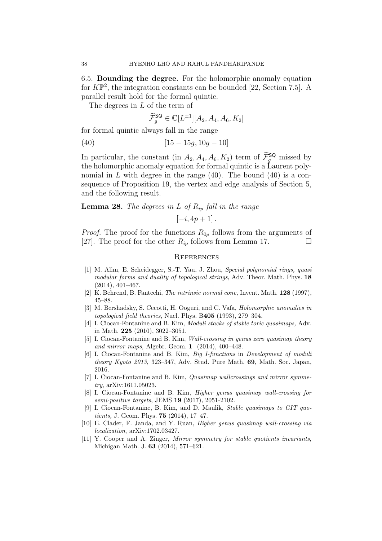6.5. Bounding the degree. For the holomorphic anomaly equation for  $K\mathbb{P}^2$ , the integration constants can be bounded [22, Section 7.5]. A parallel result hold for the formal quintic.

The degrees in L of the term of

$$
\widetilde{\mathcal{F}}_g^{\mathsf{SQ}} \in \mathbb{C}[L^{\pm 1}][A_2, A_4, A_6, K_2]
$$

for formal quintic always fall in the range

$$
(40) \t[15-15g, 10g-10]
$$

In particular, the constant (in  $A_2, A_4, A_6, K_2$ ) term of  $\mathcal{F}_g^{\mathsf{SQ}}$  missed by the holomorphic anomaly equation for formal quintic is a Laurent polynomial in  $L$  with degree in the range (40). The bound (40) is a consequence of Proposition 19, the vertex and edge analysis of Section 5, and the following result.

**Lemma 28.** The degrees in L of  $R_{ip}$  fall in the range

$$
[-i, 4p+1].
$$

*Proof.* The proof for the functions  $R_{0p}$  follows from the arguments of [27]. The proof for the other  $R_{ip}$  follows from Lemma 17.

#### **REFERENCES**

- [1] M. Alim, E. Scheidegger, S.-T. Yau, J. Zhou, Special polynomial rings, quasi modular forms and duality of topological strings, Adv. Theor. Math. Phys. 18 (2014), 401–467.
- [2] K. Behrend, B. Fantechi, The intrinsic normal cone, Invent. Math. 128 (1997), 45–88.
- [3] M. Bershadsky, S. Cecotti, H. Ooguri, and C. Vafa, Holomorphic anomalies in topological field theories, Nucl. Phys. B405 (1993), 279–304.
- [4] I. Ciocan-Fontanine and B. Kim, *Moduli stacks of stable toric quasimaps*, Adv. in Math. 225 (2010), 3022–3051.
- [5] I. Ciocan-Fontanine and B. Kim, Wall-crossing in genus zero quasimap theory and mirror maps, Algebr. Geom. 1 (2014), 400–448.
- [6] I. Ciocan-Fontanine and B. Kim, Big I-functions in Development of moduli theory Kyoto 2013, 323–347, Adv. Stud. Pure Math. 69, Math. Soc. Japan, 2016.
- [7] I. Ciocan-Fontanine and B. Kim, Quasimap wallcrossings and mirror symmetry, arXiv:1611.05023.
- [8] I. Ciocan-Fontanine and B. Kim, Higher genus quasimap wall-crossing for semi-positive targets, JEMS 19 (2017), 2051-2102.
- [9] I. Ciocan-Fontanine, B. Kim, and D. Maulik, Stable quasimaps to GIT quotients, J. Geom. Phys. 75 (2014), 17–47.
- [10] E. Clader, F. Janda, and Y. Ruan, Higher genus quasimap wall-crossing via localization, arXiv:1702.03427.
- [11] Y. Cooper and A. Zinger, *Mirror symmetry for stable quotients invariants*, Michigan Math. J. 63 (2014), 571–621.